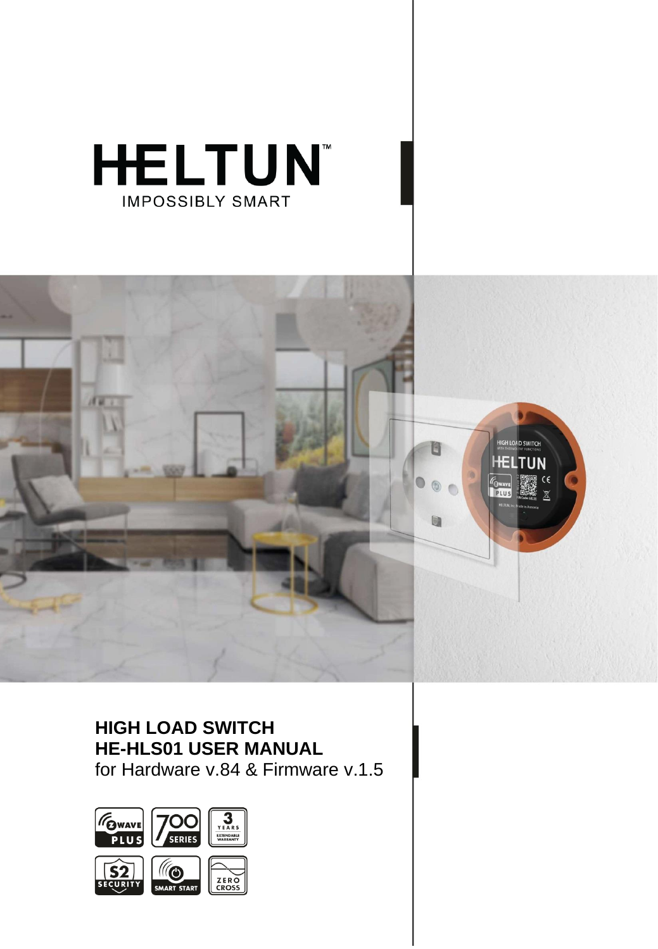



# **HIGH LOAD SWITCH HE-HLS01 USER MANUAL** for Hardware v.84 & Firmware v.1.5

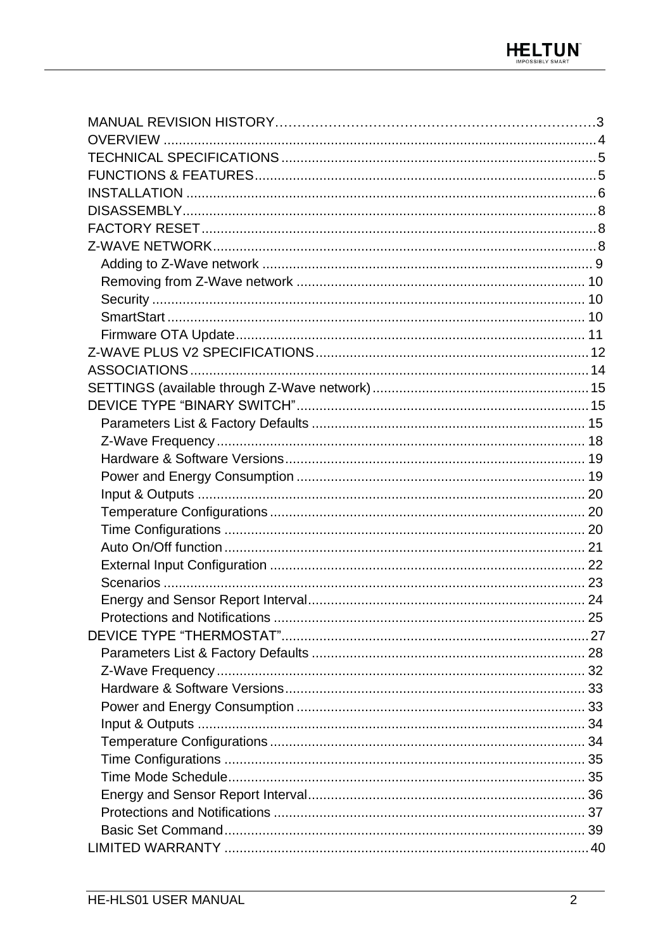<span id="page-1-0"></span>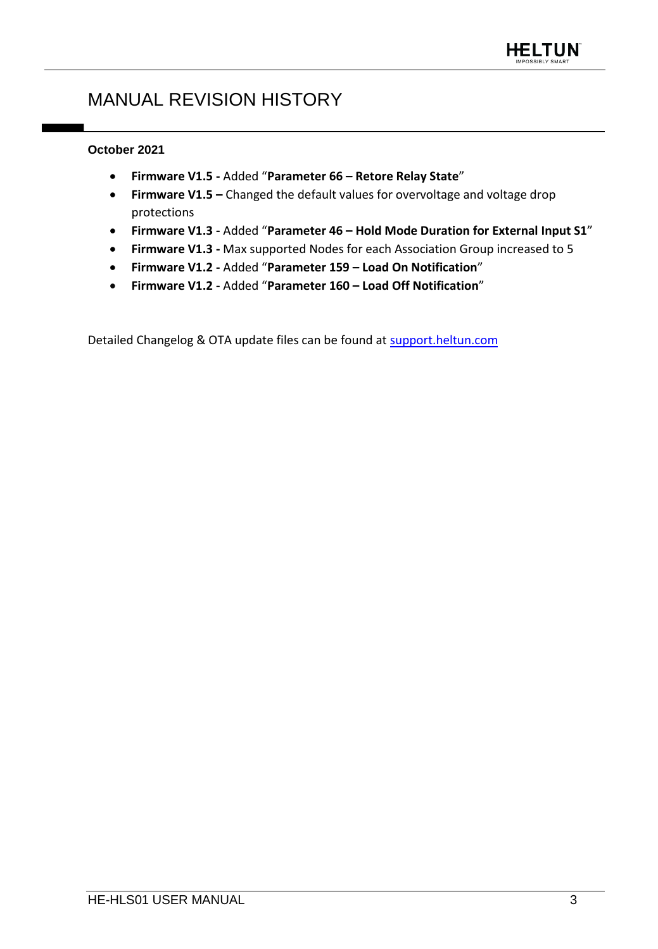# MANUAL REVISION HISTORY

## **October 2021**

- **Firmware V1.5 -** Added "**Parameter 66 – [Retore Relay State](#page-22-1)**"
- **Firmware V1.5 –** [Changed the default values for overvoltage and voltage drop](#page-25-0)  [protections](#page-25-0)
- **Firmware V1.3 -** Added "**Parameter 46 – [Hold Mode Duration for External Input S1](#page-21-1)**"
- **Firmware V1.3 -** Max supported Nodes for each Association Group increased to 5
- **Firmware V1.2 -** Added "**Parameter 159 – [Load On Notification](#page-25-1)**"
- **Firmware V1.2 -** Added "**Parameter 160 – [Load Off Notification](#page-25-2)**"

Detailed Changelog & OTA update files can be found at [support.heltun.com](https://www.heltun.com/support)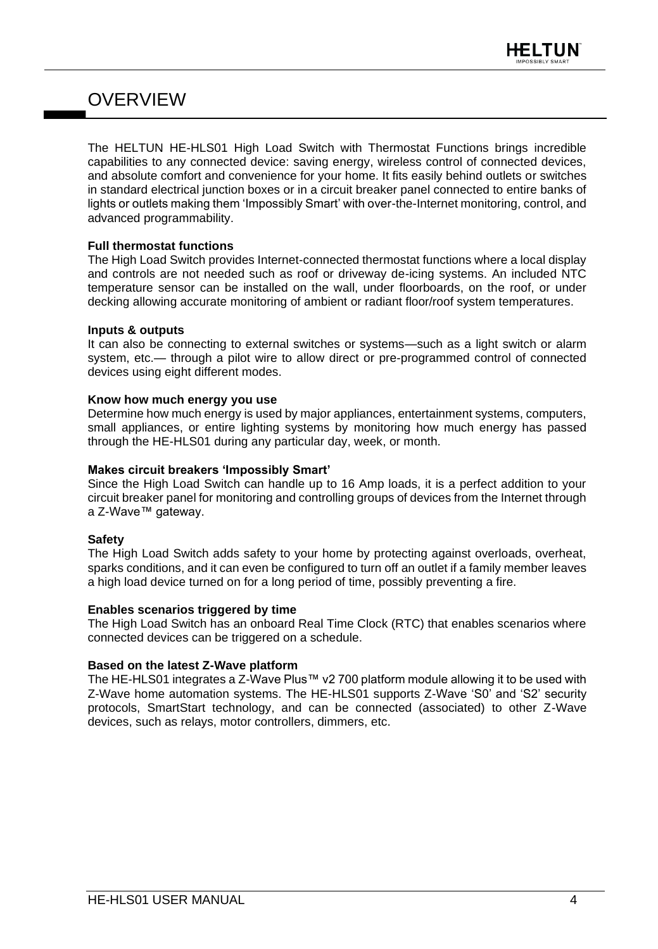# <span id="page-3-0"></span>**OVERVIEW**

The HELTUN HE-HLS01 High Load Switch with Thermostat Functions brings incredible capabilities to any connected device: saving energy, wireless control of connected devices, and absolute comfort and convenience for your home. It fits easily behind outlets or switches in standard electrical junction boxes or in a circuit breaker panel connected to entire banks of lights or outlets making them 'Impossibly Smart' with over-the-Internet monitoring, control, and advanced programmability.

## **Full thermostat functions**

The High Load Switch provides Internet-connected thermostat functions where a local display and controls are not needed such as roof or driveway de-icing systems. An included NTC temperature sensor can be installed on the wall, under floorboards, on the roof, or under decking allowing accurate monitoring of ambient or radiant floor/roof system temperatures.

#### **Inputs & outputs**

It can also be connecting to external switches or systems—such as a light switch or alarm system, etc.— through a pilot wire to allow direct or pre-programmed control of connected devices using eight different modes.

#### **Know how much energy you use**

Determine how much energy is used by major appliances, entertainment systems, computers, small appliances, or entire lighting systems by monitoring how much energy has passed through the HE-HLS01 during any particular day, week, or month.

#### **Makes circuit breakers 'Impossibly Smart'**

Since the High Load Switch can handle up to 16 Amp loads, it is a perfect addition to your circuit breaker panel for monitoring and controlling groups of devices from the Internet through a Z-Wave™ gateway.

#### **Safety**

The High Load Switch adds safety to your home by protecting against overloads, overheat, sparks conditions, and it can even be configured to turn off an outlet if a family member leaves a high load device turned on for a long period of time, possibly preventing a fire.

#### **Enables scenarios triggered by time**

The High Load Switch has an onboard Real Time Clock (RTC) that enables scenarios where connected devices can be triggered on a schedule.

## **Based on the latest Z-Wave platform**

<span id="page-3-1"></span>The HE-HLS01 integrates a Z-Wave Plus™ v2 700 platform module allowing it to be used with Z-Wave home automation systems. The HE-HLS01 supports Z-Wave 'S0' and 'S2' security protocols, SmartStart technology, and can be connected (associated) to other Z-Wave devices, such as relays, motor controllers, dimmers, etc.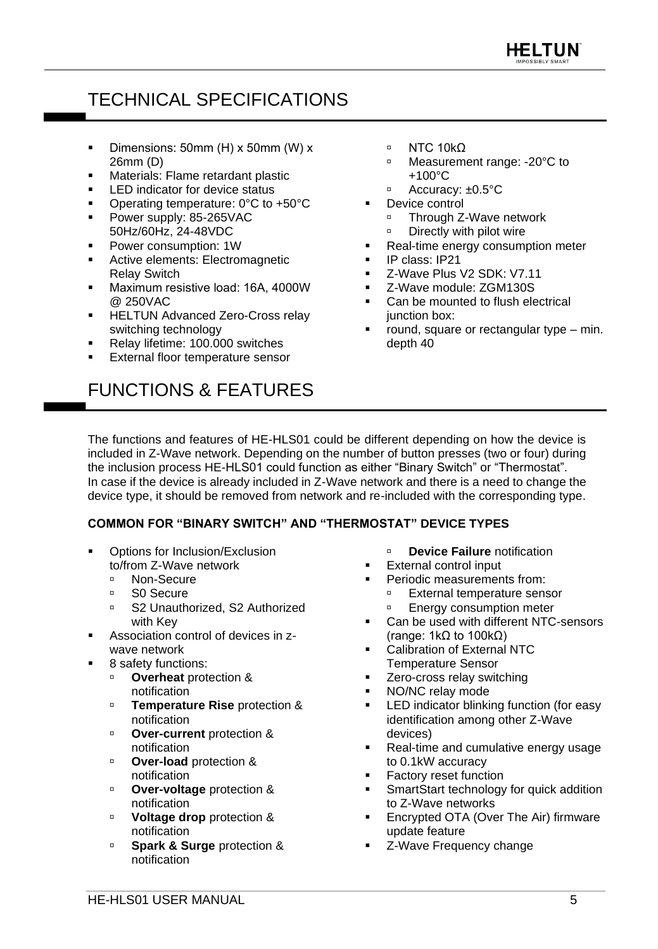# TECHNICAL SPECIFICATIONS

- Dimensions: 50mm (H) х 50mm (W) х 26mm (D)
- **■** Materials: Flame retardant plastic
- LED indicator for device status
- Operating temperature:  $0^{\circ}$ C to +50 $^{\circ}$ C
- Power supply: 85-265VAC 50Hz/60Hz, 24-48VDC
- Power consumption: 1W
- Active elements: Electromagnetic Relay Switch
- Maximum resistive load: 16А, 4000W @ 250VAC
- **HELTUN Advanced Zero-Cross relay** switching technology
- Relay lifetime: 100.000 switches
- <span id="page-4-0"></span>External floor temperature sensor

# FUNCTIONS & FEATURES

- NTC 10kΩ
- □ Measurement range: -20°C to +100°C
- □ Accuracy: ±0.5°C
- Device control
	- Through Z-Wave network
	- Directly with pilot wire
- Real-time energy consumption meter
- IP class: IP21
- Z-Wave Plus V2 SDK: V7.11
- Z-Wave module: ZGM130S
- Can be mounted to flush electrical junction box:
- round, square or rectangular type  $-$  min. depth 40

The functions and features of HE-HLS01 could be different depending on how the device is included in Z-Wave network. Depending on the number of button presses (two or four) during the inclusion process HE-HLS01 could function as either "Binary Switch" or "Thermostat". In case if the device is already included in Z-Wave network and there is a need to change the device type, it should be removed from network and re-included with the corresponding type.

## **COMMON FOR "BINARY SWITCH" AND "THERMOSTAT" DEVICE TYPES**

- Options for Inclusion/Exclusion to/from Z-Wave network
	- **Non-Secure**<br>Reference
	- S0 Secure
	- □ S2 Unauthorized, S2 Authorized with Key
- Association control of devices in zwave network
- 8 safety functions:
	- **Overheat** protection & notification
	- **Temperature Rise protection &** notification
	- **Over-current** protection & notification
	- **Over-load** protection & notification
	- **Over-voltage** protection & notification
	- **Voltage drop** protection & notification
	- **Spark & Surge** protection & notification
- **Device Failure** notification
- External control input
- Periodic measurements from:
	- □ External temperature sensor
	- Energy consumption meter
- Can be used with different NTC-sensors (range: 1kΩ to 100kΩ)
- Calibration of External NTC Temperature Sensor
- Zero-cross relay switching
- NO/NC relay mode
- LED indicator blinking function (for easy identification among other Z-Wave devices)
- Real-time and cumulative energy usage to 0.1kW accuracy
- **Factory reset function**
- SmartStart technology for quick addition to Z-Wave networks
- Encrypted OTA (Over The Air) firmware update feature
- Z-Wave Frequency change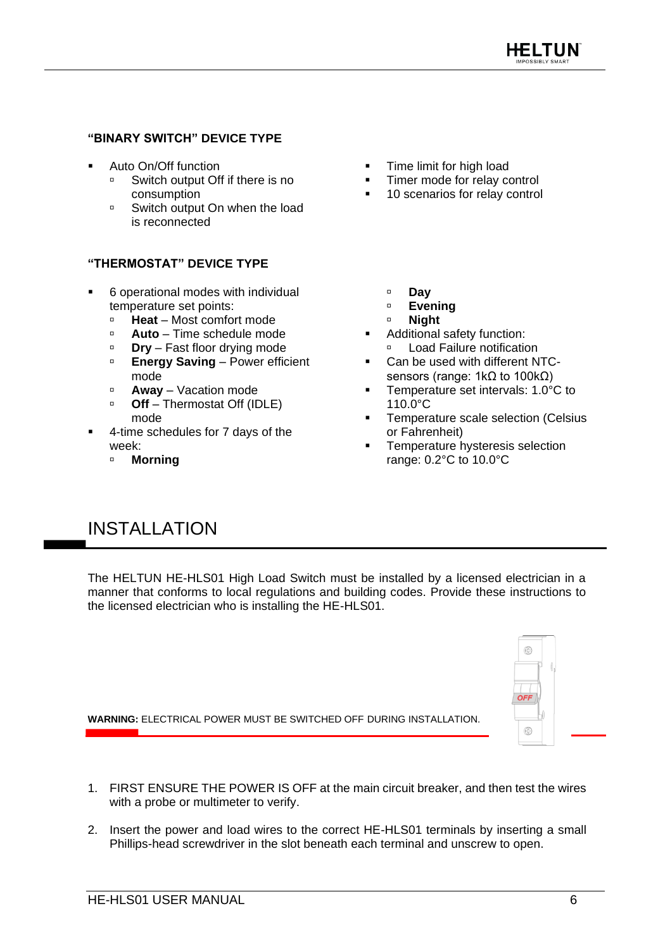### **"BINARY SWITCH" DEVICE TYPE**

- Auto On/Off function
	- □ Switch output Off if there is no consumption
	- □ Switch output On when the load is reconnected

#### **"THERMOSTAT" DEVICE TYPE**

- 6 operational modes with individual temperature set points:
	- **Heat** Most comfort mode
	- **Auto** Time schedule mode
	- **Dry** Fast floor drying mode
	- **Energy Saving** Power efficient mode
	- **Away** Vacation mode
	- **Off** Thermostat Off (IDLE) mode
- 4-time schedules for 7 days of the week:
	- **Morning**
- Time limit for high load
- Timer mode for relay control
- 10 scenarios for relay control
	- **Day**
	- **Evening**
	- **Night**
- Additional safety function: □ Load Failure notification
- Can be used with different NTCsensors (range: 1kΩ to 100kΩ)
- Temperature set intervals: 1.0°C to 110.0°C
- Temperature scale selection (Celsius or Fahrenheit)
- Temperature hysteresis selection range: 0.2°C to 10.0°C

# <span id="page-5-0"></span>INSTALLATION

The HELTUN HE-HLS01 High Load Switch must be installed by a licensed electrician in a manner that conforms to local regulations and building codes. Provide these instructions to the licensed electrician who is installing the HE-HLS01.



**WARNING:** ELECTRICAL POWER MUST BE SWITCHED OFF DURING INSTALLATION.

- 1. FIRST ENSURE THE POWER IS OFF at the main circuit breaker, and then test the wires with a probe or multimeter to verify.
- 2. Insert the power and load wires to the correct HE-HLS01 terminals by inserting a small Phillips-head screwdriver in the slot beneath each terminal and unscrew to open.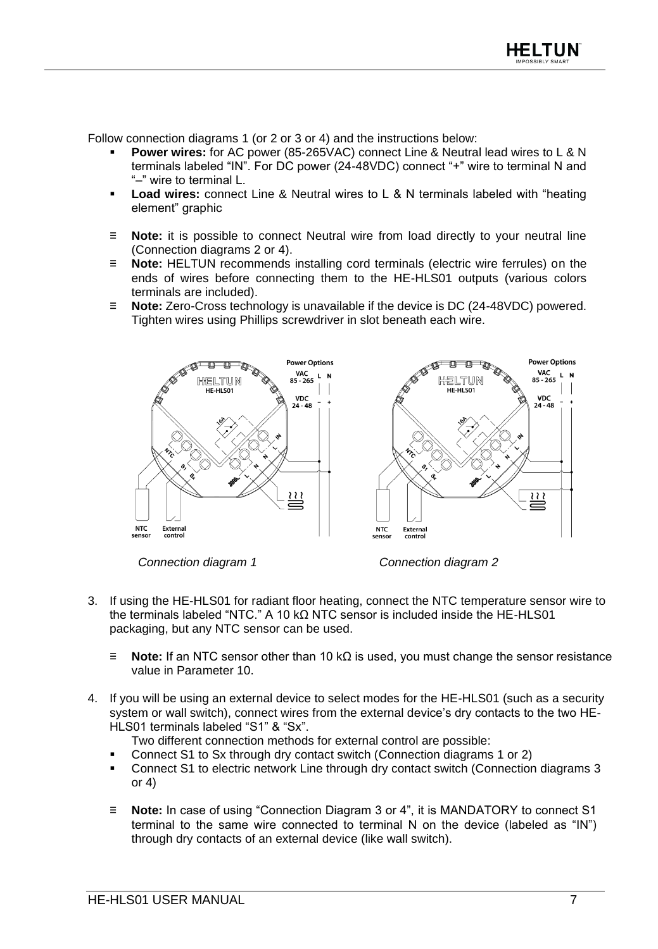Follow connection diagrams 1 (or 2 or 3 or 4) and the instructions below:

- **Power wires:** for AC power (85-265VAC) connect Line & Neutral lead wires to L & N terminals labeled "IN". For DC power (24-48VDC) connect "+" wire to terminal N and "–" wire to terminal L.
- **Load wires:** connect Line & Neutral wires to L & N terminals labeled with "heating element" graphic
- ≡ **Note:** it is possible to connect Neutral wire from load directly to your neutral line (Connection diagrams 2 or 4).
- ≡ **Note:** HELTUN recommends installing cord terminals (electric wire ferrules) on the ends of wires before connecting them to the HE-HLS01 outputs (various colors terminals are included).
- ≡ **Note:** Zero-Cross technology is unavailable if the device is DC (24-48VDC) powered. Tighten wires using Phillips screwdriver in slot beneath each wire.



*Connection diagram 1 Connection diagram 2*

- 3. If using the HE-HLS01 for radiant floor heating, connect the NTC temperature sensor wire to the terminals labeled "NTC." A 10 kΩ NTC sensor is included inside the HE-HLS01 packaging, but any NTC sensor can be used.
	- ≡ **Note:** If an NTC sensor other than 10 kΩ is used, you must change the sensor resistance value in Parameter 10.
- 4. If you will be using an external device to select modes for the HE-HLS01 (such as a security system or wall switch), connect wires from the external device's dry contacts to the two HE-HLS01 terminals labeled "S1" & "Sx".

Two different connection methods for external control are possible:

- Connect S1 to Sx through dry contact switch (Connection diagrams 1 or 2)
- Connect S1 to electric network Line through dry contact switch (Connection diagrams 3 or 4)
- ≡ **Note:** In case of using "Connection Diagram 3 or 4", it is MANDATORY to connect S1 terminal to the same wire connected to terminal N on the device (labeled as "IN") through dry contacts of an external device (like wall switch).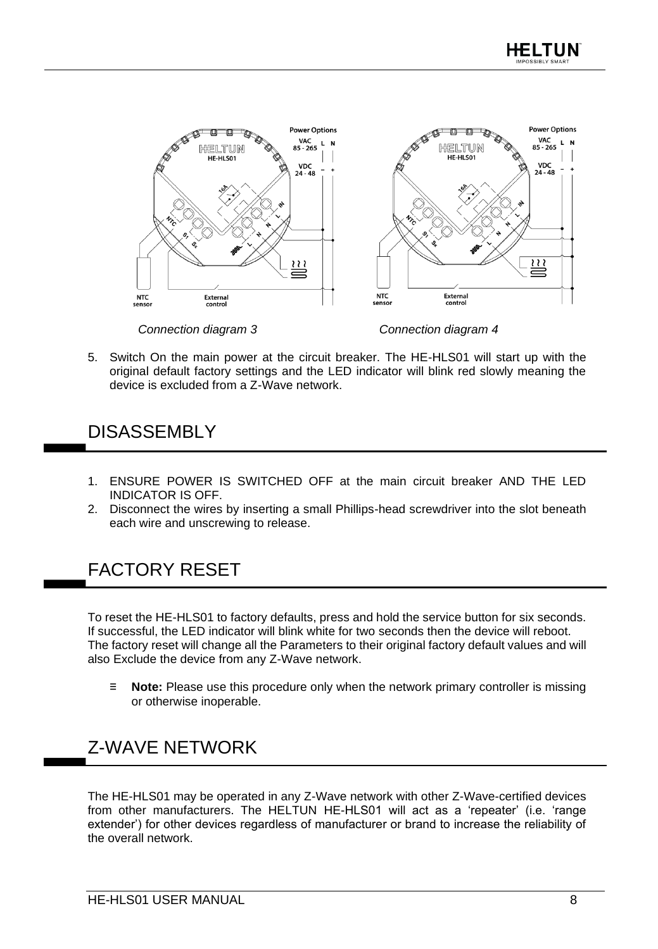



5. Switch On the main power at the circuit breaker. The HE-HLS01 will start up with the original default factory settings and the LED indicator will blink red slowly meaning the device is excluded from a Z-Wave network.

# <span id="page-7-0"></span>**DISASSEMBLY**

- 1. ENSURE POWER IS SWITCHED OFF at the main circuit breaker AND THE LED INDICATOR IS OFF.
- 2. Disconnect the wires by inserting a small Phillips-head screwdriver into the slot beneath each wire and unscrewing to release.

# <span id="page-7-1"></span>FACTORY RESET

To reset the HE-HLS01 to factory defaults, press and hold the service button for six seconds. If successful, the LED indicator will blink white for two seconds then the device will reboot. The factory reset will change all the Parameters to their original factory default values and will also Exclude the device from any Z-Wave network.

≡ **Note:** Please use this procedure only when the network primary controller is missing or otherwise inoperable.

# <span id="page-7-2"></span>Z-WAVE NETWORK

The HE-HLS01 may be operated in any Z-Wave network with other Z-Wave-certified devices from other manufacturers. The HELTUN HE-HLS01 will act as a 'repeater' (i.e. 'range extender') for other devices regardless of manufacturer or brand to increase the reliability of the overall network.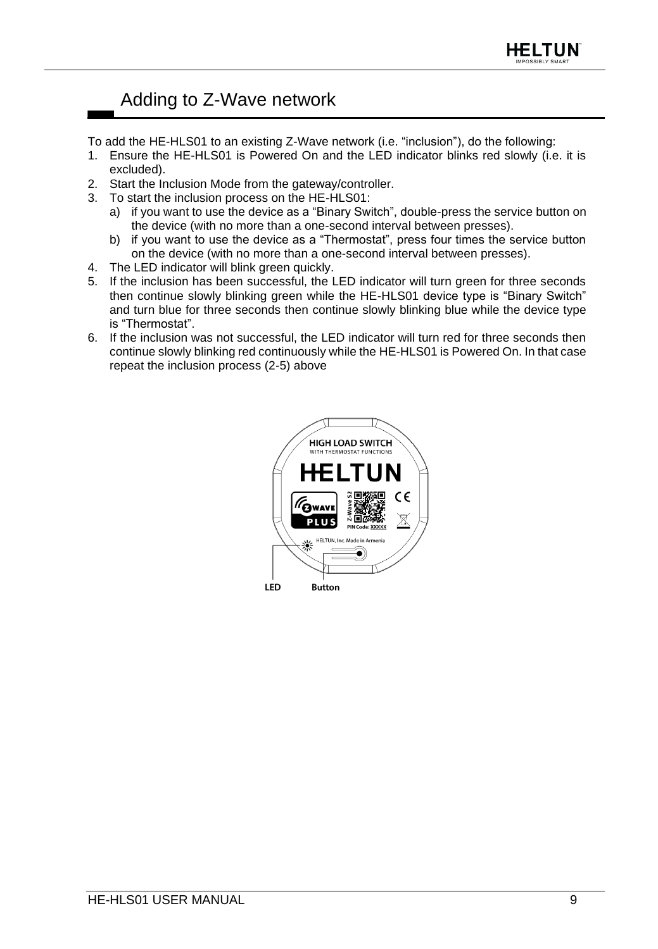# <span id="page-8-0"></span>Adding to Z-Wave network

To add the HE-HLS01 to an existing Z-Wave network (i.e. "inclusion"), do the following:

- 1. Ensure the HE-HLS01 is Powered On and the LED indicator blinks red slowly (i.e. it is excluded).
- 2. Start the Inclusion Mode from the gateway/controller.
- 3. To start the inclusion process on the HE-HLS01:
	- a) if you want to use the device as a "Binary Switch", double-press the service button on the device (with no more than a one-second interval between presses).
	- b) if you want to use the device as a "Thermostat", press four times the service button on the device (with no more than a one-second interval between presses).
- 4. The LED indicator will blink green quickly.
- 5. If the inclusion has been successful, the LED indicator will turn green for three seconds then continue slowly blinking green while the HE-HLS01 device type is "Binary Switch" and turn blue for three seconds then continue slowly blinking blue while the device type is "Thermostat".
- 6. If the inclusion was not successful, the LED indicator will turn red for three seconds then continue slowly blinking red continuously while the HE-HLS01 is Powered On. In that case repeat the inclusion process (2-5) above

<span id="page-8-1"></span>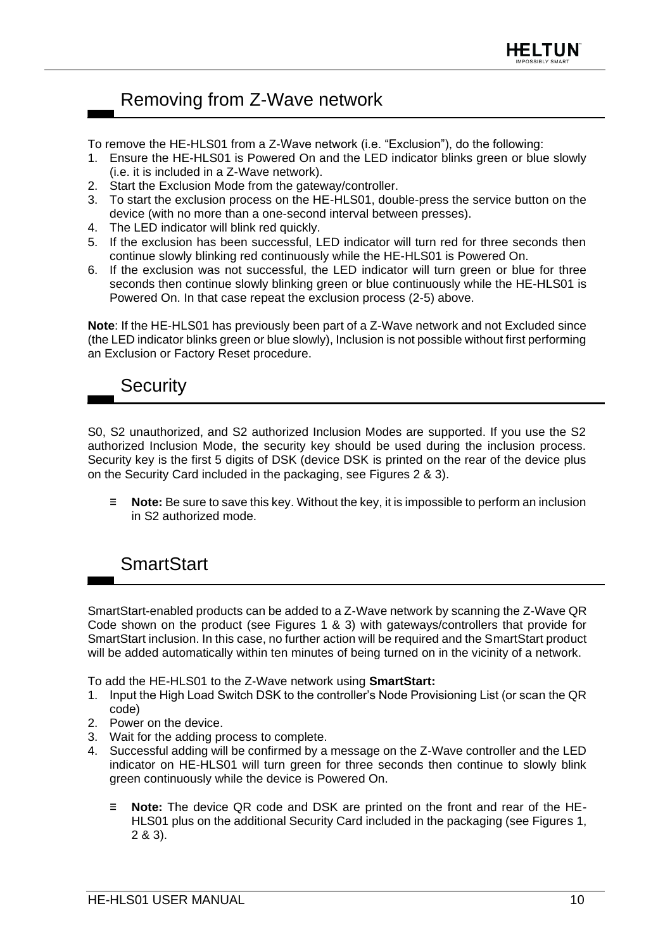# Removing from Z-Wave network

To remove the HE-HLS01 from a Z-Wave network (i.e. "Exclusion"), do the following:

- 1. Ensure the HE-HLS01 is Powered On and the LED indicator blinks green or blue slowly (i.e. it is included in a Z-Wave network).
- 2. Start the Exclusion Mode from the gateway/controller.
- 3. To start the exclusion process on the HE-HLS01, double-press the service button on the device (with no more than a one-second interval between presses).
- 4. The LED indicator will blink red quickly.
- 5. If the exclusion has been successful, LED indicator will turn red for three seconds then continue slowly blinking red continuously while the HE-HLS01 is Powered On.
- 6. If the exclusion was not successful, the LED indicator will turn green or blue for three seconds then continue slowly blinking green or blue continuously while the HE-HLS01 is Powered On. In that case repeat the exclusion process (2-5) above.

**Note**: If the HE-HLS01 has previously been part of a Z-Wave network and not Excluded since (the LED indicator blinks green or blue slowly), Inclusion is not possible without first performing an Exclusion or Factory Reset procedure.

## <span id="page-9-0"></span>Security

S0, S2 unauthorized, and S2 authorized Inclusion Modes are supported. If you use the S2 authorized Inclusion Mode, the security key should be used during the inclusion process. Security key is the first 5 digits of DSK (device DSK is printed on the rear of the device plus on the Security Card included in the packaging, see Figures 2 & 3).

≡ **Note:** Be sure to save this key. Without the key, it is impossible to perform an inclusion in S2 authorized mode.

# <span id="page-9-1"></span>**SmartStart**

SmartStart-enabled products can be added to a Z-Wave network by scanning the Z-Wave QR Code shown on the product (see Figures 1 & 3) with gateways/controllers that provide for SmartStart inclusion. In this case, no further action will be required and the SmartStart product will be added automatically within ten minutes of being turned on in the vicinity of a network.

To add the HE-HLS01 to the Z-Wave network using **SmartStart:**

- 1. Input the High Load Switch DSK to the controller's Node Provisioning List (or scan the QR code)
- 2. Power on the device.
- 3. Wait for the adding process to complete.
- 4. Successful adding will be confirmed by a message on the Z-Wave controller and the LED indicator on HE-HLS01 will turn green for three seconds then continue to slowly blink green continuously while the device is Powered On.
	- ≡ **Note:** The device QR code and DSK are printed on the front and rear of the HE-HLS01 plus on the additional Security Card included in the packaging (see Figures 1, 2 & 3).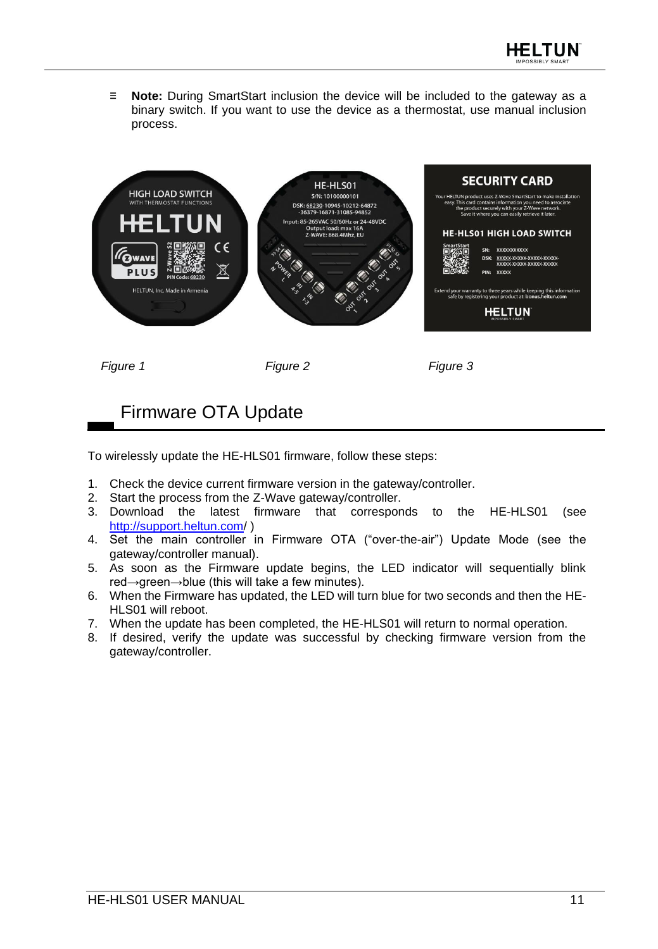

≡ **Note:** During SmartStart inclusion the device will be included to the gateway as a binary switch. If you want to use the device as a thermostat, use manual inclusion process.



*Figure 1 Figure 2 Figure 3*

# <span id="page-10-0"></span>Firmware OTA Update

To wirelessly update the HE-HLS01 firmware, follow these steps:

- 1. Check the device current firmware version in the gateway/controller.
- 2. Start the process from the Z-Wave gateway/controller.
- 3. Download the latest firmware that corresponds to the HE-HLS01 (see <http://support.heltun.com/> )
- 4. Set the main controller in Firmware OTA ("over-the-air") Update Mode (see the gateway/controller manual).
- 5. As soon as the Firmware update begins, the LED indicator will sequentially blink red→green→blue (this will take a few minutes).
- 6. When the Firmware has updated, the LED will turn blue for two seconds and then the HE-HLS01 will reboot.
- 7. When the update has been completed, the HE-HLS01 will return to normal operation.
- <span id="page-10-1"></span>8. If desired, verify the update was successful by checking firmware version from the gateway/controller.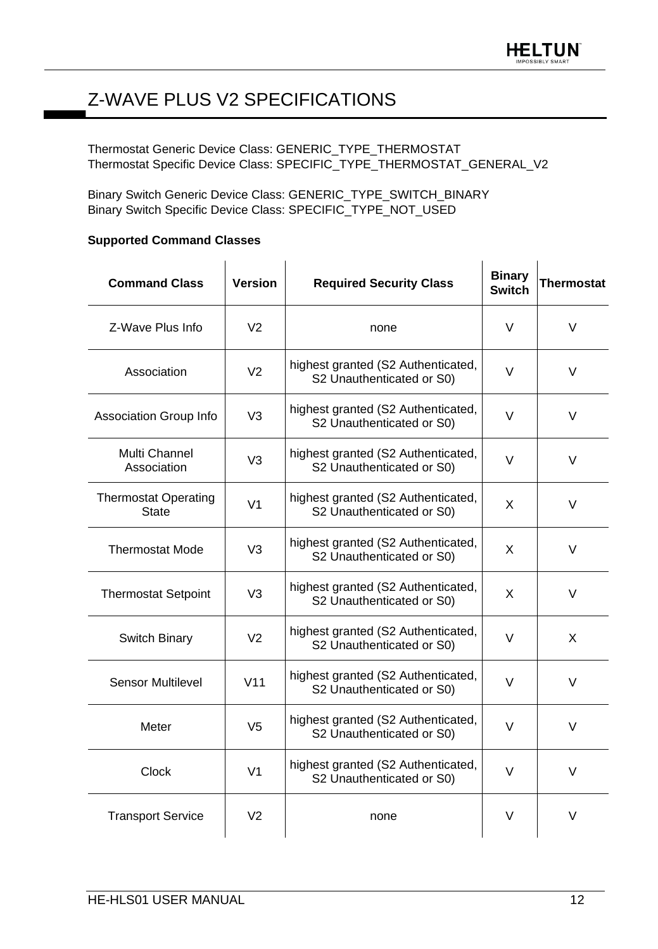# Z-WAVE PLUS V2 SPECIFICATIONS

Thermostat Generic Device Class: GENERIC\_TYPE\_THERMOSTAT Thermostat Specific Device Class: SPECIFIC\_TYPE\_THERMOSTAT\_GENERAL\_V2

Binary Switch Generic Device Class: GENERIC\_TYPE\_SWITCH\_BINARY Binary Switch Specific Device Class: SPECIFIC\_TYPE\_NOT\_USED

## **Supported Command Classes**

| <b>Command Class</b>                        | <b>Version</b>  | <b>Required Security Class</b>                                  | <b>Binary</b><br><b>Switch</b> | Thermostat |
|---------------------------------------------|-----------------|-----------------------------------------------------------------|--------------------------------|------------|
| Z-Wave Plus Info                            | V <sub>2</sub>  | none                                                            | V                              | $\vee$     |
| Association                                 | V2              | highest granted (S2 Authenticated,<br>S2 Unauthenticated or S0) | V                              | V          |
| <b>Association Group Info</b>               | V <sub>3</sub>  | highest granted (S2 Authenticated,<br>S2 Unauthenticated or S0) | V                              | V          |
| Multi Channel<br>Association                | V <sub>3</sub>  | highest granted (S2 Authenticated,<br>S2 Unauthenticated or S0) | $\vee$                         | $\vee$     |
| <b>Thermostat Operating</b><br><b>State</b> | V <sub>1</sub>  | highest granted (S2 Authenticated,<br>S2 Unauthenticated or S0) | X                              | V          |
| <b>Thermostat Mode</b>                      | V <sub>3</sub>  | highest granted (S2 Authenticated,<br>S2 Unauthenticated or S0) | X                              | V          |
| <b>Thermostat Setpoint</b>                  | V3              | highest granted (S2 Authenticated,<br>S2 Unauthenticated or S0) | X                              | V          |
| Switch Binary                               | V <sub>2</sub>  | highest granted (S2 Authenticated,<br>S2 Unauthenticated or S0) | $\vee$                         | X          |
| <b>Sensor Multilevel</b>                    | V <sub>11</sub> | highest granted (S2 Authenticated,<br>S2 Unauthenticated or S0) | V                              | $\vee$     |
| Meter                                       | V <sub>5</sub>  | highest granted (S2 Authenticated,<br>S2 Unauthenticated or S0) | V                              | $\vee$     |
| Clock                                       | V <sub>1</sub>  | highest granted (S2 Authenticated,<br>S2 Unauthenticated or S0) | $\vee$                         | $\vee$     |
| <b>Transport Service</b>                    | V <sub>2</sub>  | none                                                            | V                              | V          |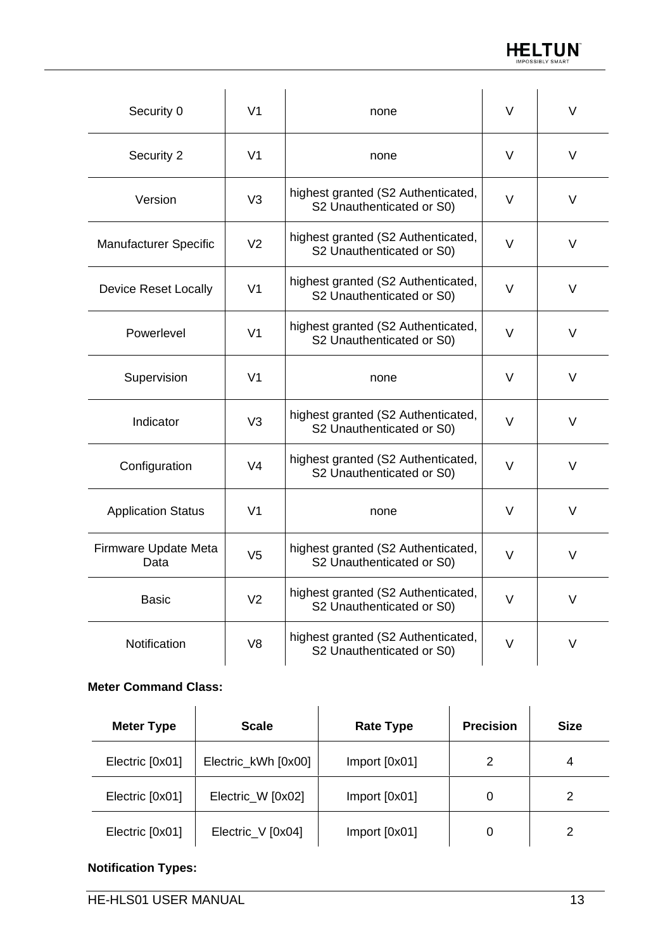

| Security 0                   | V <sub>1</sub> | none                                                            | $\vee$ | $\vee$ |
|------------------------------|----------------|-----------------------------------------------------------------|--------|--------|
| Security 2                   | V <sub>1</sub> | none                                                            | V      | $\vee$ |
| Version                      | V <sub>3</sub> | highest granted (S2 Authenticated,<br>S2 Unauthenticated or S0) | $\vee$ | $\vee$ |
| Manufacturer Specific        | V <sub>2</sub> | highest granted (S2 Authenticated,<br>S2 Unauthenticated or S0) | V      | $\vee$ |
| Device Reset Locally         | V <sub>1</sub> | highest granted (S2 Authenticated,<br>S2 Unauthenticated or S0) | $\vee$ | V      |
| Powerlevel                   | V <sub>1</sub> | highest granted (S2 Authenticated,<br>S2 Unauthenticated or S0) | V      | V      |
| Supervision                  | V <sub>1</sub> | none                                                            | V      | V      |
| Indicator                    | V <sub>3</sub> | highest granted (S2 Authenticated,<br>S2 Unauthenticated or S0) | $\vee$ | $\vee$ |
| Configuration                | V <sub>4</sub> | highest granted (S2 Authenticated,<br>S2 Unauthenticated or S0) | $\vee$ | $\vee$ |
| <b>Application Status</b>    | V1             | none                                                            | V      | $\vee$ |
| Firmware Update Meta<br>Data | V <sub>5</sub> | highest granted (S2 Authenticated,<br>S2 Unauthenticated or S0) | V      | $\vee$ |
| <b>Basic</b>                 | V <sub>2</sub> | highest granted (S2 Authenticated,<br>S2 Unauthenticated or S0) | $\vee$ | $\vee$ |
| Notification                 | V <sub>8</sub> | highest granted (S2 Authenticated,<br>S2 Unauthenticated or S0) | V      | V      |

## **Meter Command Class:**

| <b>Meter Type</b> | <b>Scale</b>        | <b>Rate Type</b> | <b>Precision</b> | <b>Size</b> |
|-------------------|---------------------|------------------|------------------|-------------|
| Electric [0x01]   | Electric_kWh [0x00] | Import [0x01]    | 2                | 4           |
| Electric [0x01]   | Electric_W [0x02]   | Import [0x01]    | 0                |             |
| Electric [0x01]   | Electric_V [0x04]   | Import [0x01]    | 0                |             |

## **Notification Types:**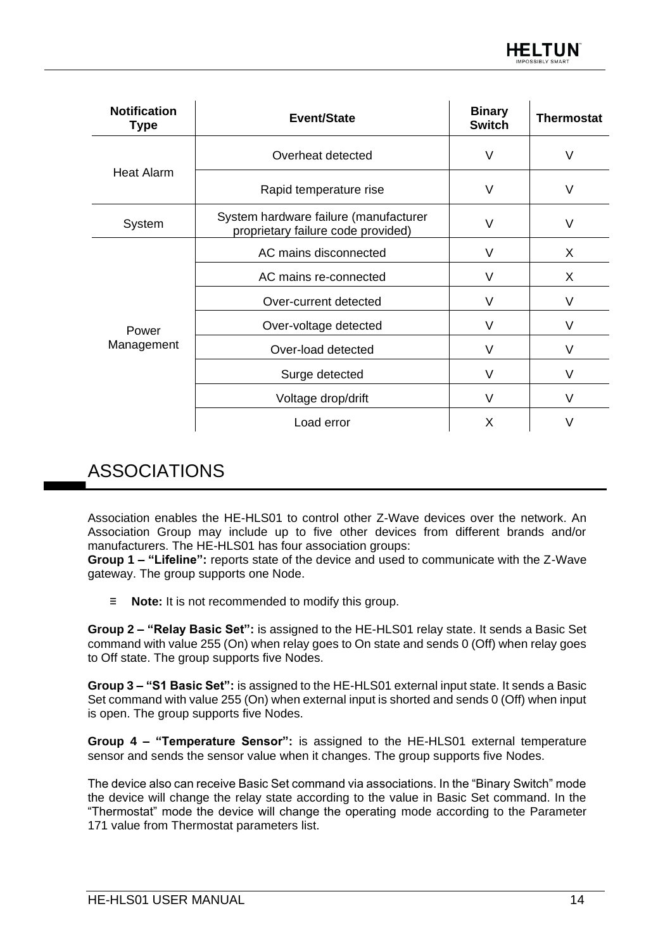| <b>Notification</b><br><b>Type</b> | <b>Event/State</b>                                                          | <b>Binary</b><br><b>Switch</b> | <b>Thermostat</b> |
|------------------------------------|-----------------------------------------------------------------------------|--------------------------------|-------------------|
|                                    | Overheat detected                                                           | V                              | V                 |
| <b>Heat Alarm</b>                  | Rapid temperature rise                                                      | V                              | V                 |
| System                             | System hardware failure (manufacturer<br>proprietary failure code provided) | V                              | V                 |
|                                    | AC mains disconnected                                                       | V                              | X                 |
|                                    | AC mains re-connected                                                       | V                              | X                 |
|                                    | Over-current detected                                                       | $\vee$                         | V                 |
| Power                              | Over-voltage detected                                                       | V                              | V                 |
| Management                         | Over-load detected                                                          | V                              | V                 |
|                                    | Surge detected                                                              | $\vee$                         | V                 |
|                                    | Voltage drop/drift                                                          | V                              | V                 |
|                                    | Load error                                                                  | X                              | V                 |

# <span id="page-13-0"></span>ASSOCIATIONS

Association enables the HE-HLS01 to control other Z-Wave devices over the network. An Association Group may include up to five other devices from different brands and/or manufacturers. The HE-HLS01 has four association groups:

**Group 1 – "Lifeline":** reports state of the device and used to communicate with the Z-Wave gateway. The group supports one Node.

≡ **Note:** It is not recommended to modify this group.

**Group 2 – "Relay Basic Set":** is assigned to the HE-HLS01 relay state. It sends a Basic Set command with value 255 (On) when relay goes to On state and sends 0 (Off) when relay goes to Off state. The group supports five Nodes.

**Group 3 – "S1 Basic Set":** is assigned to the HE-HLS01 external input state. It sends a Basic Set command with value 255 (On) when external input is shorted and sends 0 (Off) when input is open. The group supports five Nodes.

**Group 4 – "Temperature Sensor":** is assigned to the HE-HLS01 external temperature sensor and sends the sensor value when it changes. The group supports five Nodes.

The device also can receive Basic Set command via associations. In the "Binary Switch" mode the device will change the relay state according to the value in Basic Set command. In the "Thermostat" mode the device will change the operating mode according to the Parameter 171 value from Thermostat parameters list.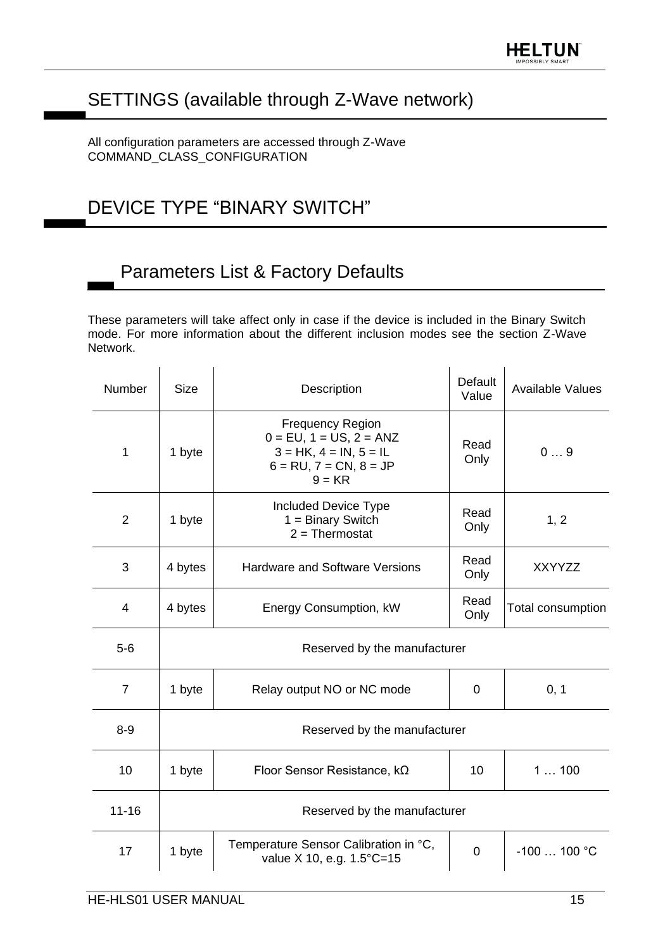# <span id="page-14-0"></span>SETTINGS (available through Z-Wave network)

All configuration parameters are accessed through Z-Wave COMMAND\_CLASS\_CONFIGURATION

# <span id="page-14-1"></span>DEVICE TYPE "BINARY SWITCH"

# <span id="page-14-2"></span>Parameters List & Factory Defaults

These parameters will take affect only in case if the device is included in the Binary Switch mode. For more information about the different inclusion modes see the section Z-Wave Network.

| Number         | <b>Size</b>                  | Description                                                                                                                          | Default<br>Value | <b>Available Values</b> |
|----------------|------------------------------|--------------------------------------------------------------------------------------------------------------------------------------|------------------|-------------------------|
| 1              | 1 byte                       | <b>Frequency Region</b><br>$0 = EU$ , $1 = US$ , $2 = ANZ$<br>$3 = HK$ , $4 = IN$ , $5 = IL$<br>$6 = RU, 7 = CN, 8 = JP$<br>$9 = KR$ | Read<br>Only     | 09                      |
| $\overline{2}$ | 1 byte                       | <b>Included Device Type</b><br>$1 = Binary Switch$<br>$2 =$ Thermostat                                                               | Read<br>Only     | 1, 2                    |
| 3              | 4 bytes                      | <b>Hardware and Software Versions</b>                                                                                                | Read<br>Only     | XXYYZZ                  |
| 4              | 4 bytes                      | Energy Consumption, kW                                                                                                               | Read<br>Only     | Total consumption       |
| $5 - 6$        | Reserved by the manufacturer |                                                                                                                                      |                  |                         |
| $\overline{7}$ | 1 byte                       | Relay output NO or NC mode                                                                                                           | 0                | 0, 1                    |
| $8 - 9$        |                              | Reserved by the manufacturer                                                                                                         |                  |                         |
| 10             | 1 byte                       | Floor Sensor Resistance, $k\Omega$                                                                                                   | 10               | 1100                    |
| $11 - 16$      | Reserved by the manufacturer |                                                                                                                                      |                  |                         |
| 17             | 1 byte                       | Temperature Sensor Calibration in °C,<br>value X 10, e.g. 1.5°C=15                                                                   | $\Omega$         | $-100100$ °C            |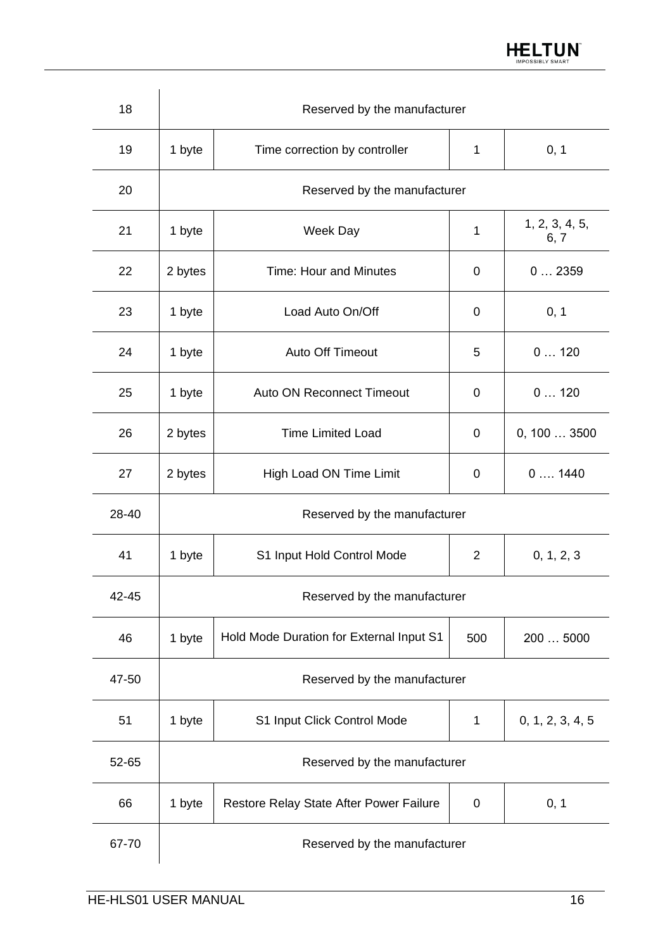| 18    |                              | Reserved by the manufacturer             |     |                        |  |
|-------|------------------------------|------------------------------------------|-----|------------------------|--|
| 19    | 1 byte                       | Time correction by controller            | 1   | 0, 1                   |  |
| 20    |                              | Reserved by the manufacturer             |     |                        |  |
| 21    | 1 byte                       | Week Day                                 | 1   | 1, 2, 3, 4, 5,<br>6, 7 |  |
| 22    | 2 bytes                      | Time: Hour and Minutes                   | 0   | 02359                  |  |
| 23    | 1 byte                       | Load Auto On/Off                         | 0   | 0, 1                   |  |
| 24    | 1 byte                       | Auto Off Timeout                         | 5   | 0120                   |  |
| 25    | 1 byte                       | <b>Auto ON Reconnect Timeout</b>         | 0   | 0120                   |  |
| 26    | 2 bytes                      | <b>Time Limited Load</b>                 | 0   | 0, 100  3500           |  |
| 27    | 2 bytes                      | High Load ON Time Limit                  | 0   | 01440                  |  |
| 28-40 | Reserved by the manufacturer |                                          |     |                        |  |
| 41    | 1 byte                       | S1 Input Hold Control Mode               | 2   | 0, 1, 2, 3             |  |
| 42-45 |                              | Reserved by the manufacturer             |     |                        |  |
| 46    | 1 byte                       | Hold Mode Duration for External Input S1 | 500 | 200  5000              |  |
| 47-50 | Reserved by the manufacturer |                                          |     |                        |  |
| 51    | 1 byte                       | S1 Input Click Control Mode              | 1   | 0, 1, 2, 3, 4, 5       |  |
| 52-65 | Reserved by the manufacturer |                                          |     |                        |  |
| 66    | 1 byte                       | Restore Relay State After Power Failure  | 0   | 0, 1                   |  |
| 67-70 | Reserved by the manufacturer |                                          |     |                        |  |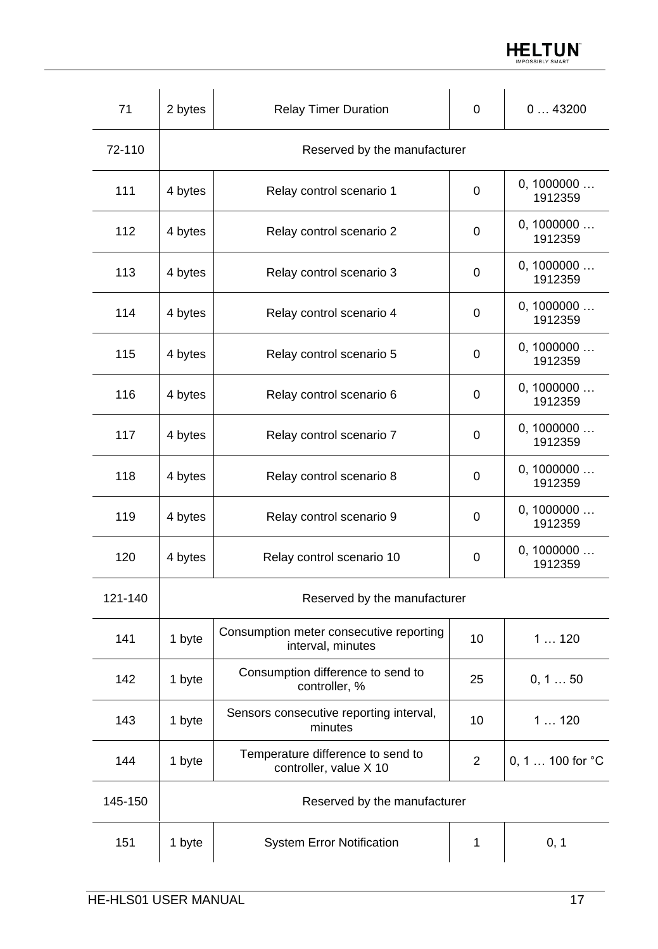| 71      | 2 bytes | <b>Relay Timer Duration</b>                                  | 0              | 043200                |
|---------|---------|--------------------------------------------------------------|----------------|-----------------------|
| 72-110  |         | Reserved by the manufacturer                                 |                |                       |
| 111     | 4 bytes | Relay control scenario 1                                     | 0              | 0, 1000000<br>1912359 |
| 112     | 4 bytes | Relay control scenario 2                                     | 0              | 0, 1000000<br>1912359 |
| 113     | 4 bytes | Relay control scenario 3                                     | 0              | 0, 1000000<br>1912359 |
| 114     | 4 bytes | Relay control scenario 4                                     | 0              | 0, 1000000<br>1912359 |
| 115     | 4 bytes | Relay control scenario 5                                     | 0              | 0, 1000000<br>1912359 |
| 116     | 4 bytes | Relay control scenario 6                                     | 0              | 0, 1000000<br>1912359 |
| 117     | 4 bytes | Relay control scenario 7                                     | 0              | 0, 1000000<br>1912359 |
| 118     | 4 bytes | Relay control scenario 8                                     | 0              | 0, 1000000<br>1912359 |
| 119     | 4 bytes | Relay control scenario 9                                     | 0              | 0, 1000000<br>1912359 |
| 120     | 4 bytes | Relay control scenario 10                                    | 0              | 0, 1000000<br>1912359 |
| 121-140 |         | Reserved by the manufacturer                                 |                |                       |
| 141     | 1 byte  | Consumption meter consecutive reporting<br>interval, minutes | 10             | 1120                  |
| 142     | 1 byte  | Consumption difference to send to<br>controller, %           | 25             | 0, 150                |
| 143     | 1 byte  | Sensors consecutive reporting interval,<br>minutes           | 10             | 1120                  |
| 144     | 1 byte  | Temperature difference to send to<br>controller, value X 10  | $\overline{2}$ | 0, 1  100 for °C      |
| 145-150 |         | Reserved by the manufacturer                                 |                |                       |
| 151     | 1 byte  | <b>System Error Notification</b>                             | 1              | 0, 1                  |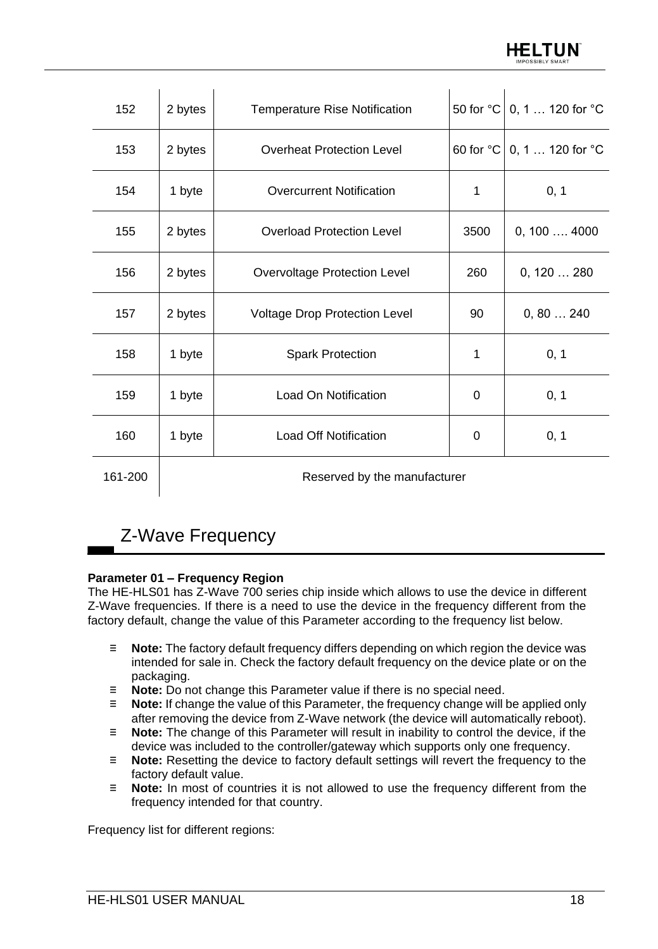| 152     | 2 bytes                      | <b>Temperature Rise Notification</b> |      | 50 for °C   0, 1  120 for °C                       |
|---------|------------------------------|--------------------------------------|------|----------------------------------------------------|
| 153     | 2 bytes                      | <b>Overheat Protection Level</b>     |      | 60 for ${}^{\circ}C$   0, 1  120 for ${}^{\circ}C$ |
| 154     | 1 byte                       | <b>Overcurrent Notification</b>      | 1    | 0, 1                                               |
| 155     | 2 bytes                      | <b>Overload Protection Level</b>     | 3500 | $0, 100 \ldots 4000$                               |
| 156     | 2 bytes                      | <b>Overvoltage Protection Level</b>  | 260  | 0, 120280                                          |
| 157     | 2 bytes                      | <b>Voltage Drop Protection Level</b> | 90   | 0, 80 240                                          |
| 158     | 1 byte                       | <b>Spark Protection</b>              | 1    | 0, 1                                               |
| 159     | 1 byte                       | Load On Notification                 | 0    | 0, 1                                               |
| 160     | 1 byte                       | Load Off Notification                | 0    | 0, 1                                               |
| 161-200 | Reserved by the manufacturer |                                      |      |                                                    |

# <span id="page-17-0"></span>Z-Wave Frequency

## **Parameter 01 – Frequency Region**

The HE-HLS01 has Z-Wave 700 series chip inside which allows to use the device in different Z-Wave frequencies. If there is a need to use the device in the frequency different from the factory default, change the value of this Parameter according to the frequency list below.

- ≡ **Note:** The factory default frequency differs depending on which region the device was intended for sale in. Check the factory default frequency on the device plate or on the packaging.
- ≡ **Note:** Do not change this Parameter value if there is no special need.
- ≡ **Note:** If change the value of this Parameter, the frequency change will be applied only after removing the device from Z-Wave network (the device will automatically reboot).
- ≡ **Note:** The change of this Parameter will result in inability to control the device, if the device was included to the controller/gateway which supports only one frequency.
- ≡ **Note:** Resetting the device to factory default settings will revert the frequency to the factory default value.
- ≡ **Note:** In most of countries it is not allowed to use the frequency different from the frequency intended for that country.

Frequency list for different regions: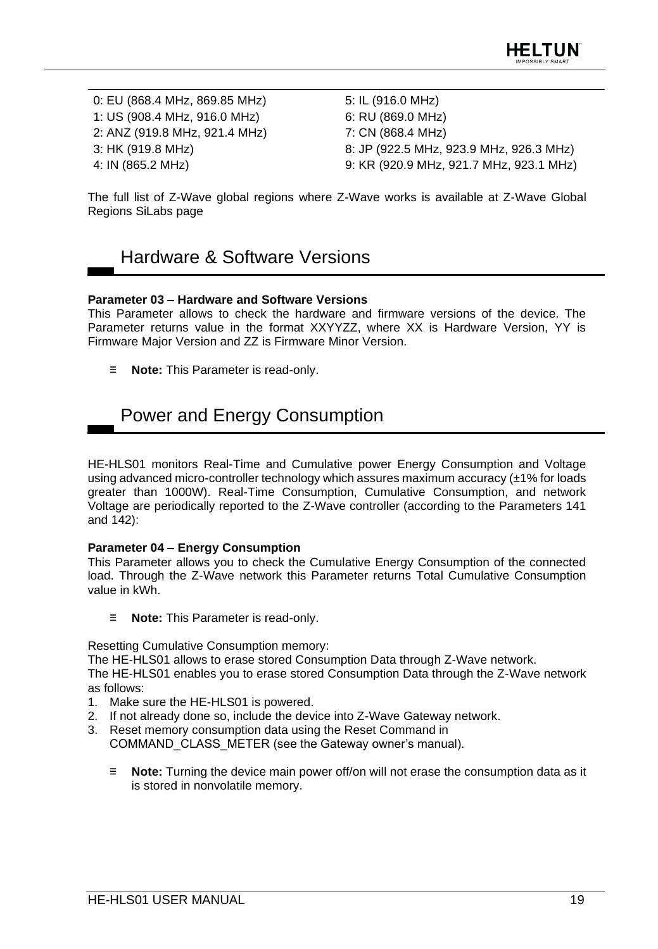0: EU (868.4 MHz, 869.85 MHz) 1: US (908.4 MHz, 916.0 MHz) 2: ANZ (919.8 MHz, 921.4 MHz) 3: HK (919.8 MHz) 4: IN (865.2 MHz)

5: IL (916.0 MHz) 6: RU (869.0 MHz) 7: CN (868.4 MHz) 8: JP (922.5 MHz, 923.9 MHz, 926.3 MHz) 9: KR (920.9 MHz, 921.7 MHz, 923.1 MHz)

The full list of Z-Wave global regions where Z-Wave works is available at Z-Wave Global Regions SiLabs page

## <span id="page-18-0"></span>Hardware & Software Versions

## **Parameter 03 – Hardware and Software Versions**

This Parameter allows to check the hardware and firmware versions of the device. The Parameter returns value in the format XXYYZZ, where XX is Hardware Version, YY is Firmware Major Version and ZZ is Firmware Minor Version.

≡ **Note:** This Parameter is read-only.

## <span id="page-18-1"></span>Power and Energy Consumption

HE-HLS01 monitors Real-Time and Cumulative power Energy Consumption and Voltage using advanced micro-controller technology which assures maximum accuracy (±1% for loads greater than 1000W). Real-Time Consumption, Cumulative Consumption, and network Voltage are periodically reported to the Z-Wave controller (according to the Parameters 141 and 142):

#### **Parameter 04 – Energy Consumption**

This Parameter allows you to check the Cumulative Energy Consumption of the connected load. Through the Z-Wave network this Parameter returns Total Cumulative Consumption value in kWh.

≡ **Note:** This Parameter is read-only.

Resetting Cumulative Consumption memory:

The HE-HLS01 allows to erase stored Consumption Data through Z-Wave network.

The HE-HLS01 enables you to erase stored Consumption Data through the Z-Wave network as follows:

- 1. Make sure the HE-HLS01 is powered.
- 2. If not already done so, include the device into Z-Wave Gateway network.
- <span id="page-18-2"></span>3. Reset memory consumption data using the Reset Command in COMMAND\_CLASS\_METER (see the Gateway owner's manual).
	- ≡ **Note:** Turning the device main power off/on will not erase the consumption data as it is stored in nonvolatile memory.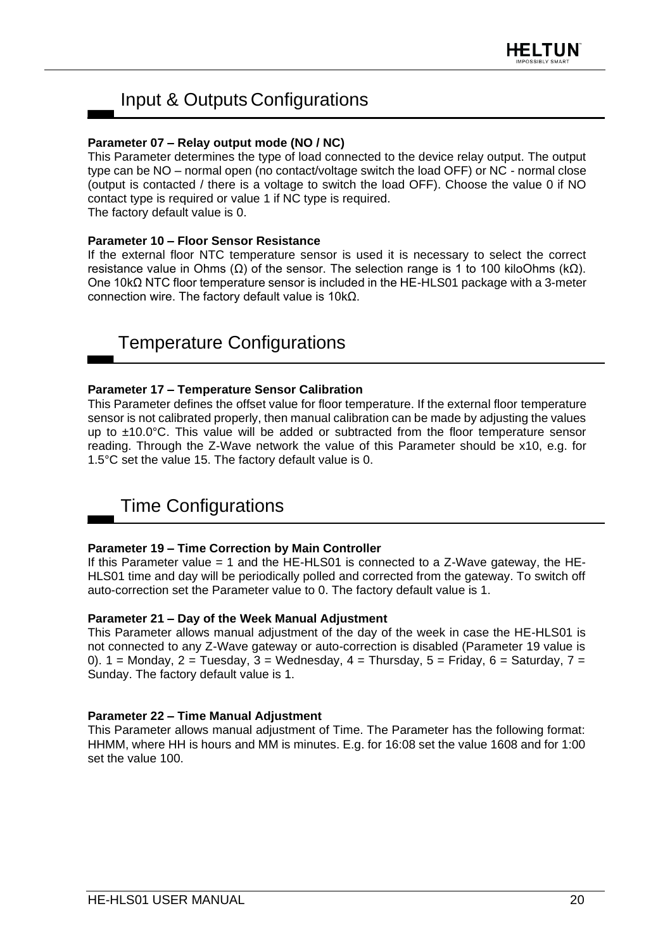# Input & Outputs Configurations

## **Parameter 07 – Relay output mode (NO / NC)**

This Parameter determines the type of load connected to the device relay output. The output type can be NO – normal open (no contact/voltage switch the load OFF) or NC - normal close (output is contacted / there is a voltage to switch the load OFF). Choose the value 0 if NO contact type is required or value 1 if NC type is required. The factory default value is 0.

## **Parameter 10 – Floor Sensor Resistance**

If the external floor NTC temperature sensor is used it is necessary to select the correct resistance value in Ohms ( $Ω$ ) of the sensor. The selection range is 1 to 100 kiloOhms ( $kΩ$ ). One 10kΩ NTC floor temperature sensor is included in the HE-HLS01 package with a 3-meter connection wire. The factory default value is 10kΩ.

## <span id="page-19-0"></span>Temperature Configurations

## **Parameter 17 – Temperature Sensor Calibration**

This Parameter defines the offset value for floor temperature. If the external floor temperature sensor is not calibrated properly, then manual calibration can be made by adjusting the values up to  $\pm 10.0^{\circ}$ C. This value will be added or subtracted from the floor temperature sensor reading. Through the Z-Wave network the value of this Parameter should be x10, e.g. for 1.5°C set the value 15. The factory default value is 0.

## <span id="page-19-1"></span>Time Configurations

## **Parameter 19 – Time Correction by Main Controller**

If this Parameter value = 1 and the HE-HLS01 is connected to a Z-Wave gateway, the HE-HLS01 time and day will be periodically polled and corrected from the gateway. To switch off auto-correction set the Parameter value to 0. The factory default value is 1.

## **Parameter 21 – Day of the Week Manual Adjustment**

This Parameter allows manual adjustment of the day of the week in case the HE-HLS01 is not connected to any Z-Wave gateway or auto-correction is disabled (Parameter 19 value is 0). 1 = Monday, 2 = Tuesday, 3 = Wednesday, 4 = Thursday, 5 = Friday, 6 = Saturday, 7 = Sunday. The factory default value is 1.

## **Parameter 22 – Time Manual Adjustment**

This Parameter allows manual adjustment of Time. The Parameter has the following format: HHMM, where HH is hours and MM is minutes. E.g. for 16:08 set the value 1608 and for 1:00 set the value 100.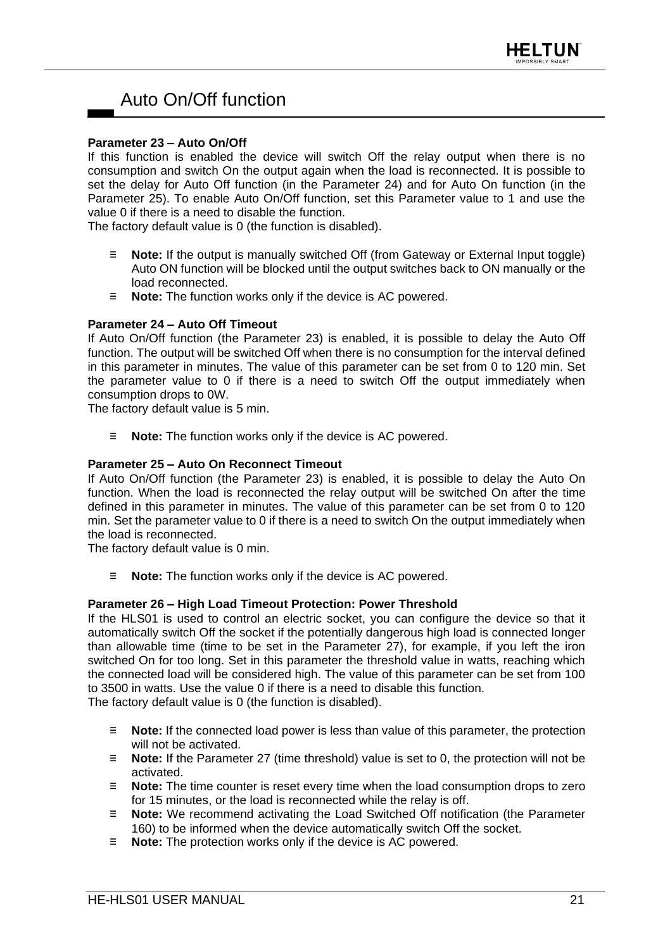# <span id="page-20-0"></span>Auto On/Off function

### **Parameter 23 – Auto On/Off**

If this function is enabled the device will switch Off the relay output when there is no consumption and switch On the output again when the load is reconnected. It is possible to set the delay for Auto Off function (in the Parameter 24) and for Auto On function (in the Parameter 25). To enable Auto On/Off function, set this Parameter value to 1 and use the value 0 if there is a need to disable the function.

The factory default value is 0 (the function is disabled).

- ≡ **Note:** If the output is manually switched Off (from Gateway or External Input toggle) Auto ON function will be blocked until the output switches back to ON manually or the load reconnected.
- ≡ **Note:** The function works only if the device is AC powered.

## **Parameter 24 – Auto Off Timeout**

If Auto On/Off function (the Parameter 23) is enabled, it is possible to delay the Auto Off function. The output will be switched Off when there is no consumption for the interval defined in this parameter in minutes. The value of this parameter can be set from 0 to 120 min. Set the parameter value to 0 if there is a need to switch Off the output immediately when consumption drops to 0W.

The factory default value is 5 min.

≡ **Note:** The function works only if the device is AC powered.

## **Parameter 25 – Auto On Reconnect Timeout**

If Auto On/Off function (the Parameter 23) is enabled, it is possible to delay the Auto On function. When the load is reconnected the relay output will be switched On after the time defined in this parameter in minutes. The value of this parameter can be set from 0 to 120 min. Set the parameter value to 0 if there is a need to switch On the output immediately when the load is reconnected.

The factory default value is 0 min.

≡ **Note:** The function works only if the device is AC powered.

#### **Parameter 26 – High Load Timeout Protection: Power Threshold**

If the HLS01 is used to control an electric socket, you can configure the device so that it automatically switch Off the socket if the potentially dangerous high load is connected longer than allowable time (time to be set in the Parameter 27), for example, if you left the iron switched On for too long. Set in this parameter the threshold value in watts, reaching which the connected load will be considered high. The value of this parameter can be set from 100 to 3500 in watts. Use the value 0 if there is a need to disable this function.

The factory default value is 0 (the function is disabled).

- ≡ **Note:** If the connected load power is less than value of this parameter, the protection will not be activated.
- ≡ **Note:** If the Parameter 27 (time threshold) value is set to 0, the protection will not be activated.
- ≡ **Note:** The time counter is reset every time when the load consumption drops to zero for 15 minutes, or the load is reconnected while the relay is off.
- ≡ **Note:** We recommend activating the Load Switched Off notification (the Parameter 160) to be informed when the device automatically switch Off the socket.
- ≡ **Note:** The protection works only if the device is AC powered.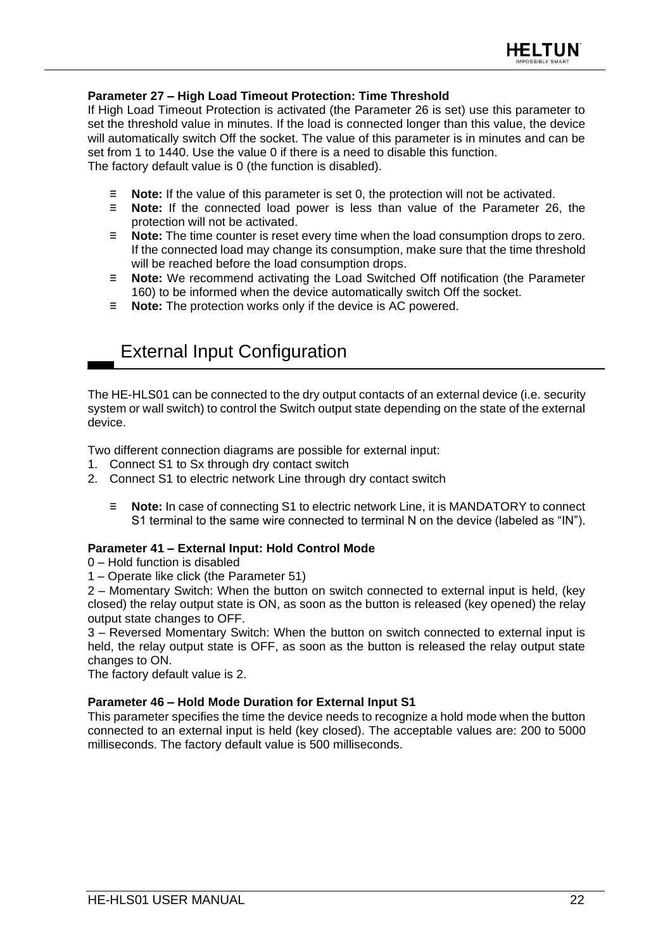

#### **Parameter 27 – High Load Timeout Protection: Time Threshold**

If High Load Timeout Protection is activated (the Parameter 26 is set) use this parameter to set the threshold value in minutes. If the load is connected longer than this value, the device will automatically switch Off the socket. The value of this parameter is in minutes and can be set from 1 to 1440. Use the value 0 if there is a need to disable this function.

The factory default value is 0 (the function is disabled).

- ≡ **Note:** If the value of this parameter is set 0, the protection will not be activated.
- ≡ **Note:** If the connected load power is less than value of the Parameter 26, the protection will not be activated.
- ≡ **Note:** The time counter is reset every time when the load consumption drops to zero. If the connected load may change its consumption, make sure that the time threshold will be reached before the load consumption drops.
- ≡ **Note:** We recommend activating the Load Switched Off notification (the Parameter 160) to be informed when the device automatically switch Off the socket.
- ≡ **Note:** The protection works only if the device is AC powered.

# <span id="page-21-0"></span>External Input Configuration

The HE-HLS01 can be connected to the dry output contacts of an external device (i.e. security system or wall switch) to control the Switch output state depending on the state of the external device.

Two different connection diagrams are possible for external input:

- 1. Connect S1 to Sx through dry contact switch
- 2. Connect S1 to electric network Line through dry contact switch
	- ≡ **Note:** In case of connecting S1 to electric network Line, it is MANDATORY to connect S1 terminal to the same wire connected to terminal N on the device (labeled as "IN").

#### **Parameter 41 – External Input: Hold Control Mode**

0 – Hold function is disabled

1 – Operate like click (the Parameter 51)

2 – Momentary Switch: When the button on switch connected to external input is held, (key closed) the relay output state is ON, as soon as the button is released (key opened) the relay output state changes to OFF.

3 – Reversed Momentary Switch: When the button on switch connected to external input is held, the relay output state is OFF, as soon as the button is released the relay output state changes to ON.

The factory default value is 2.

#### <span id="page-21-1"></span>**Parameter 46 – Hold Mode Duration for External Input S1**

This parameter specifies the time the device needs to recognize a hold mode when the button connected to an external input is held (key closed). The acceptable values are: 200 to 5000 milliseconds. The factory default value is 500 milliseconds.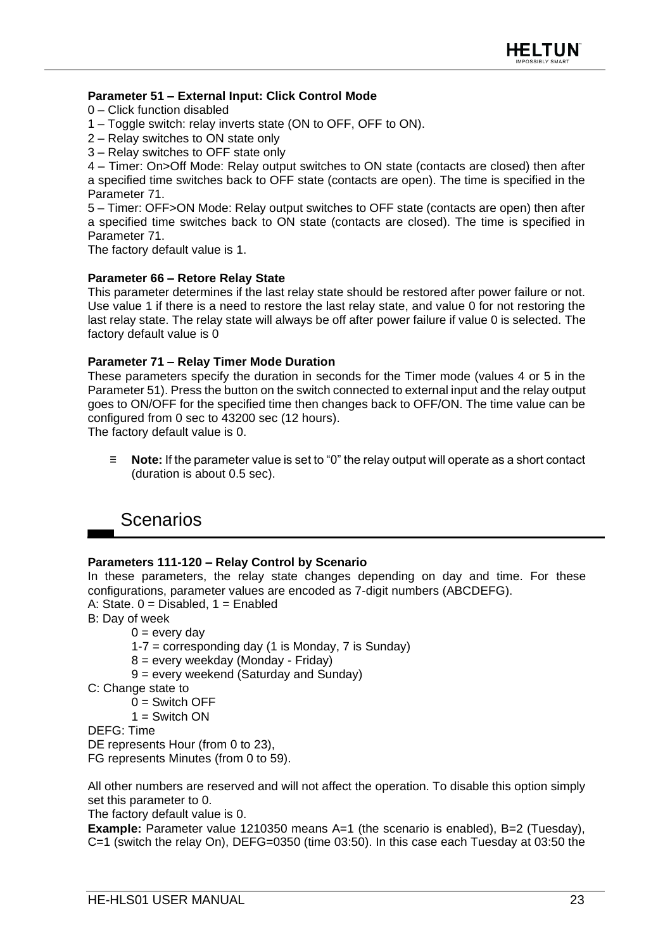## **Parameter 51 – External Input: Click Control Mode**

- 0 Click function disabled
- 1 Toggle switch: relay inverts state (ON to OFF, OFF to ON).
- 2 Relay switches to ON state only
- 3 Relay switches to OFF state only

4 – Timer: On>Off Mode: Relay output switches to ON state (contacts are closed) then after a specified time switches back to OFF state (contacts are open). The time is specified in the Parameter 71.

5 – Timer: OFF>ON Mode: Relay output switches to OFF state (contacts are open) then after a specified time switches back to ON state (contacts are closed). The time is specified in Parameter 71.

The factory default value is 1.

#### <span id="page-22-1"></span>**Parameter 66 – Retore Relay State**

This parameter determines if the last relay state should be restored after power failure or not. Use value 1 if there is a need to restore the last relay state, and value 0 for not restoring the last relay state. The relay state will always be off after power failure if value 0 is selected. The factory default value is 0

#### **Parameter 71 – Relay Timer Mode Duration**

These parameters specify the duration in seconds for the Timer mode (values 4 or 5 in the Parameter 51). Press the button on the switch connected to external input and the relay output goes to ON/OFF for the specified time then changes back to OFF/ON. The time value can be configured from 0 sec to 43200 sec (12 hours).

The factory default value is 0.

≡ **Note:** If the parameter value is set to "0" the relay output will operate as a short contact (duration is about 0.5 sec).

<span id="page-22-0"></span>

## **Parameters 111-120 – Relay Control by Scenario**

In these parameters, the relay state changes depending on day and time. For these configurations, parameter values are encoded as 7-digit numbers (ABCDEFG).

- A: State,  $0 = Disabeled$ ,  $1 = Enabeled$
- B: Day of week
	- $0 =$  every day
	- 1-7 = corresponding day (1 is Monday, 7 is Sunday)
	- 8 = every weekday (Monday Friday)
	- 9 = every weekend (Saturday and Sunday)
- C: Change state to
	- $0 =$  Switch OFF
	- $1 =$  Switch ON

DEFG: Time

DE represents Hour (from 0 to 23),

FG represents Minutes (from 0 to 59).

All other numbers are reserved and will not affect the operation. To disable this option simply set this parameter to 0.

The factory default value is 0.

**Example:** Parameter value 1210350 means A=1 (the scenario is enabled), B=2 (Tuesday), C=1 (switch the relay On), DEFG=0350 (time 03:50). In this case each Tuesday at 03:50 the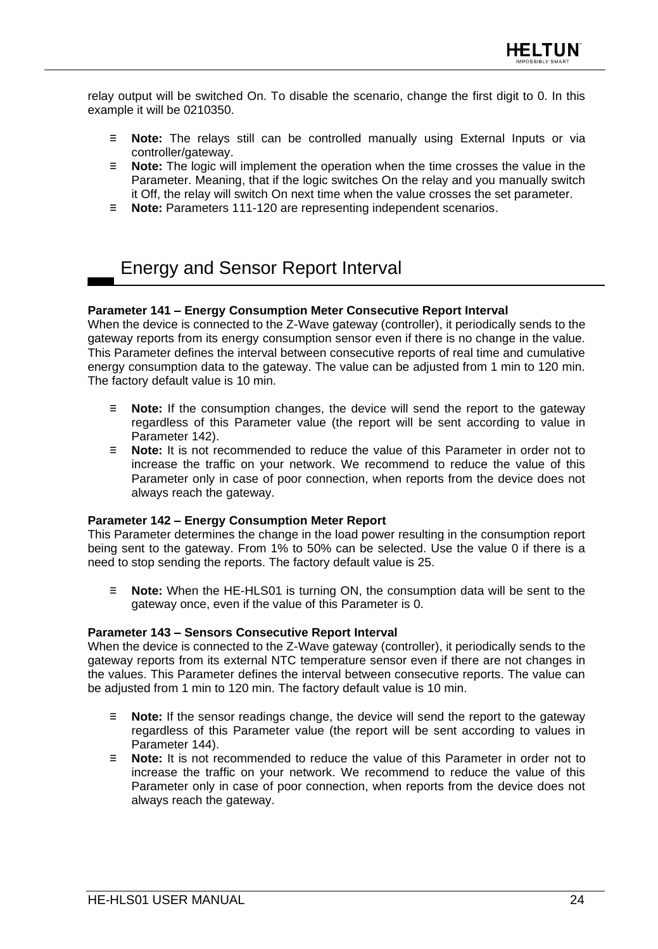relay output will be switched On. To disable the scenario, change the first digit to 0. In this example it will be 0210350.

- ≡ **Note:** The relays still can be controlled manually using External Inputs or via controller/gateway.
- ≡ **Note:** The logic will implement the operation when the time crosses the value in the Parameter. Meaning, that if the logic switches On the relay and you manually switch it Off, the relay will switch On next time when the value crosses the set parameter.
- ≡ **Note:** Parameters 111-120 are representing independent scenarios.

## <span id="page-23-0"></span>Energy and Sensor Report Interval

#### **Parameter 141 – Energy Consumption Meter Consecutive Report Interval**

When the device is connected to the Z-Wave gateway (controller), it periodically sends to the gateway reports from its energy consumption sensor even if there is no change in the value. This Parameter defines the interval between consecutive reports of real time and cumulative energy consumption data to the gateway. The value can be adjusted from 1 min to 120 min. The factory default value is 10 min.

- ≡ **Note:** If the consumption changes, the device will send the report to the gateway regardless of this Parameter value (the report will be sent according to value in Parameter 142).
- ≡ **Note:** It is not recommended to reduce the value of this Parameter in order not to increase the traffic on your network. We recommend to reduce the value of this Parameter only in case of poor connection, when reports from the device does not always reach the gateway.

#### **Parameter 142 – Energy Consumption Meter Report**

This Parameter determines the change in the load power resulting in the consumption report being sent to the gateway. From 1% to 50% can be selected. Use the value 0 if there is a need to stop sending the reports. The factory default value is 25.

≡ **Note:** When the HE-HLS01 is turning ON, the consumption data will be sent to the gateway once, even if the value of this Parameter is 0.

#### **Parameter 143 – Sensors Consecutive Report Interval**

When the device is connected to the Z-Wave gateway (controller), it periodically sends to the gateway reports from its external NTC temperature sensor even if there are not changes in the values. This Parameter defines the interval between consecutive reports. The value can be adjusted from 1 min to 120 min. The factory default value is 10 min.

- ≡ **Note:** If the sensor readings change, the device will send the report to the gateway regardless of this Parameter value (the report will be sent according to values in Parameter 144).
- ≡ **Note:** It is not recommended to reduce the value of this Parameter in order not to increase the traffic on your network. We recommend to reduce the value of this Parameter only in case of poor connection, when reports from the device does not always reach the gateway.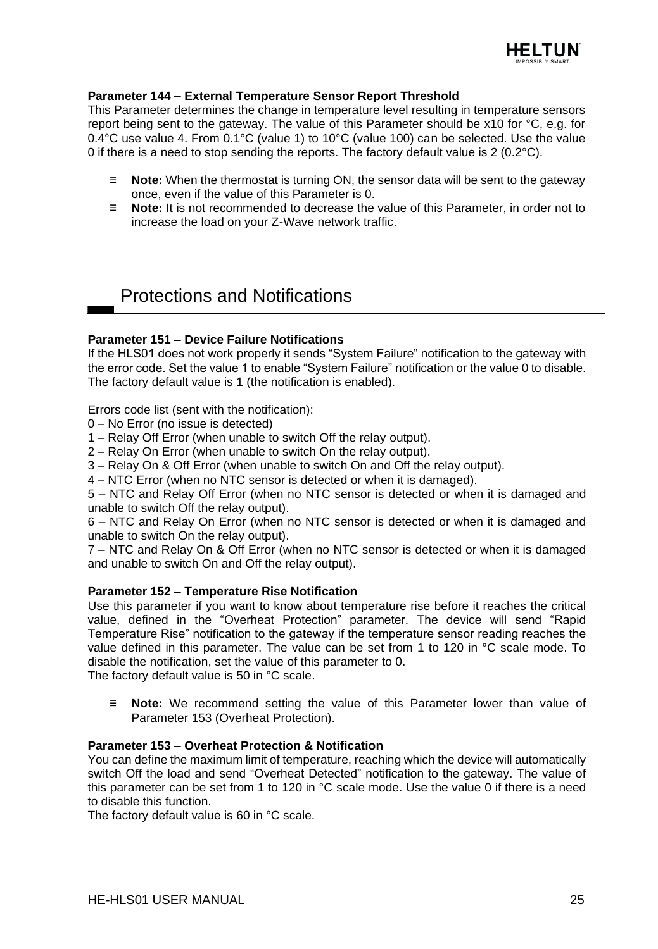#### **Parameter 144 – External Temperature Sensor Report Threshold**

This Parameter determines the change in temperature level resulting in temperature sensors report being sent to the gateway. The value of this Parameter should be x10 for °C, e.g. for 0.4°C use value 4. From 0.1°C (value 1) to 10°C (value 100) can be selected. Use the value 0 if there is a need to stop sending the reports. The factory default value is 2 ( $0.2^{\circ}$ C).

- ≡ **Note:** When the thermostat is turning ON, the sensor data will be sent to the gateway once, even if the value of this Parameter is 0.
- ≡ **Note:** It is not recommended to decrease the value of this Parameter, in order not to increase the load on your Z-Wave network traffic.

## <span id="page-24-0"></span>Protections and Notifications

#### **Parameter 151 – Device Failure Notifications**

If the HLS01 does not work properly it sends "System Failure" notification to the gateway with the error code. Set the value 1 to enable "System Failure" notification or the value 0 to disable. The factory default value is 1 (the notification is enabled).

Errors code list (sent with the notification):

0 – No Error (no issue is detected)

1 – Relay Off Error (when unable to switch Off the relay output).

- 2 Relay On Error (when unable to switch On the relay output).
- 3 Relay On & Off Error (when unable to switch On and Off the relay output).

4 – NTC Error (when no NTC sensor is detected or when it is damaged).

5 – NTC and Relay Off Error (when no NTC sensor is detected or when it is damaged and unable to switch Off the relay output).

6 – NTC and Relay On Error (when no NTC sensor is detected or when it is damaged and unable to switch On the relay output).

7 – NTC and Relay On & Off Error (when no NTC sensor is detected or when it is damaged and unable to switch On and Off the relay output).

#### **Parameter 152 – Temperature Rise Notification**

Use this parameter if you want to know about temperature rise before it reaches the critical value, defined in the "Overheat Protection" parameter. The device will send "Rapid Temperature Rise" notification to the gateway if the temperature sensor reading reaches the value defined in this parameter. The value can be set from 1 to 120 in °C scale mode. To disable the notification, set the value of this parameter to 0.

The factory default value is 50 in °C scale.

≡ **Note:** We recommend setting the value of this Parameter lower than value of Parameter 153 (Overheat Protection).

#### **Parameter 153 – Overheat Protection & Notification**

You can define the maximum limit of temperature, reaching which the device will automatically switch Off the load and send "Overheat Detected" notification to the gateway. The value of this parameter can be set from 1 to 120 in  $^{\circ}$ C scale mode. Use the value 0 if there is a need to disable this function.

The factory default value is 60 in °C scale.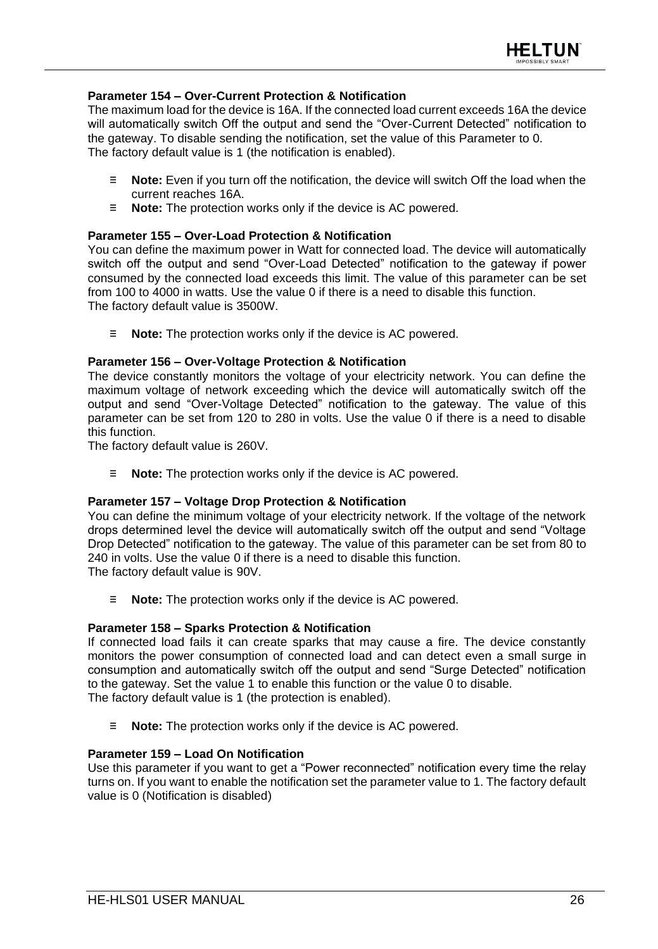

#### **Parameter 154 – Over-Current Protection & Notification**

The maximum load for the device is 16A. If the connected load current exceeds 16A the device will automatically switch Off the output and send the "Over-Current Detected" notification to the gateway. To disable sending the notification, set the value of this Parameter to 0. The factory default value is 1 (the notification is enabled).

- ≡ **Note:** Even if you turn off the notification, the device will switch Off the load when the current reaches 16A.
- ≡ **Note:** The protection works only if the device is AC powered.

#### **Parameter 155 – Over-Load Protection & Notification**

You can define the maximum power in Watt for connected load. The device will automatically switch off the output and send "Over-Load Detected" notification to the gateway if power consumed by the connected load exceeds this limit. The value of this parameter can be set from 100 to 4000 in watts. Use the value 0 if there is a need to disable this function. The factory default value is 3500W.

≡ **Note:** The protection works only if the device is AC powered.

#### <span id="page-25-0"></span>**Parameter 156 – Over-Voltage Protection & Notification**

The device constantly monitors the voltage of your electricity network. You can define the maximum voltage of network exceeding which the device will automatically switch off the output and send "Over-Voltage Detected" notification to the gateway. The value of this parameter can be set from 120 to 280 in volts. Use the value 0 if there is a need to disable this function.

The factory default value is 260V.

≡ **Note:** The protection works only if the device is AC powered.

#### **Parameter 157 – Voltage Drop Protection & Notification**

You can define the minimum voltage of your electricity network. If the voltage of the network drops determined level the device will automatically switch off the output and send "Voltage Drop Detected" notification to the gateway. The value of this parameter can be set from 80 to 240 in volts. Use the value 0 if there is a need to disable this function. The factory default value is 90V.

≡ **Note:** The protection works only if the device is AC powered.

#### **Parameter 158 – Sparks Protection & Notification**

If connected load fails it can create sparks that may cause a fire. The device constantly monitors the power consumption of connected load and can detect even a small surge in consumption and automatically switch off the output and send "Surge Detected" notification to the gateway. Set the value 1 to enable this function or the value 0 to disable. The factory default value is 1 (the protection is enabled).

≡ **Note:** The protection works only if the device is AC powered.

#### <span id="page-25-1"></span>**Parameter 159 – Load On Notification**

<span id="page-25-2"></span>Use this parameter if you want to get a "Power reconnected" notification every time the relay turns on. If you want to enable the notification set the parameter value to 1. The factory default value is 0 (Notification is disabled)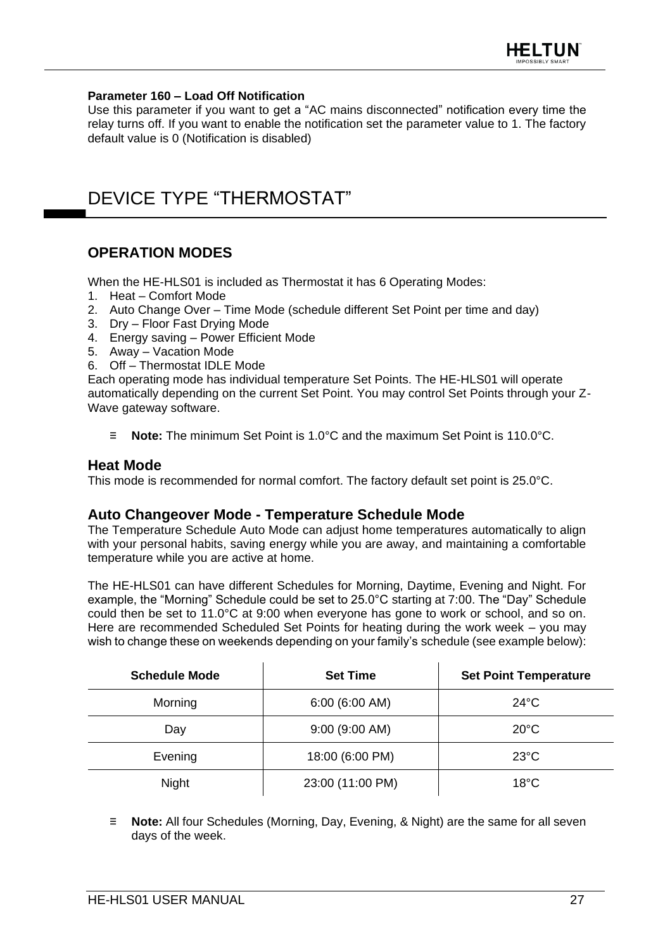#### **Parameter 160 – Load Off Notification**

Use this parameter if you want to get a "AC mains disconnected" notification every time the relay turns off. If you want to enable the notification set the parameter value to 1. The factory default value is 0 (Notification is disabled)

# <span id="page-26-0"></span>DEVICE TYPE "THERMOSTAT"

## **OPERATION MODES**

When the HE-HLS01 is included as Thermostat it has 6 Operating Modes:

- 1. Heat Comfort Mode
- 2. Auto Change Over Time Mode (schedule different Set Point per time and day)
- 3. Dry Floor Fast Drying Mode
- 4. Energy saving Power Efficient Mode
- 5. Away Vacation Mode
- 6. Off Thermostat IDLE Mode

Each operating mode has individual temperature Set Points. The HE-HLS01 will operate automatically depending on the current Set Point. You may control Set Points through your Z-Wave gateway software.

≡ **Note:** The minimum Set Point is 1.0°C and the maximum Set Point is 110.0°C.

## **Heat Mode**

This mode is recommended for normal comfort. The factory default set point is 25.0°C.

## **Auto Changeover Mode - Temperature Schedule Mode**

The Temperature Schedule Auto Mode can adjust home temperatures automatically to align with your personal habits, saving energy while you are away, and maintaining a comfortable temperature while you are active at home.

The HE-HLS01 can have different Schedules for Morning, Daytime, Evening and Night. For example, the "Morning" Schedule could be set to 25.0°C starting at 7:00. The "Day" Schedule could then be set to 11.0°C at 9:00 when everyone has gone to work or school, and so on. Here are recommended Scheduled Set Points for heating during the work week – you may wish to change these on weekends depending on your family's schedule (see example below):

| <b>Schedule Mode</b> | <b>Set Time</b>  | <b>Set Point Temperature</b> |
|----------------------|------------------|------------------------------|
| Morning              | 6:00(6:00 AM)    | $24^{\circ}$ C               |
| Day                  | 9:00 (9:00 AM)   | $20^{\circ}$ C               |
| Evening              | 18:00 (6:00 PM)  | $23^{\circ}$ C               |
| Night                | 23:00 (11:00 PM) | $18^{\circ}$ C               |

≡ **Note:** All four Schedules (Morning, Day, Evening, & Night) are the same for all seven days of the week.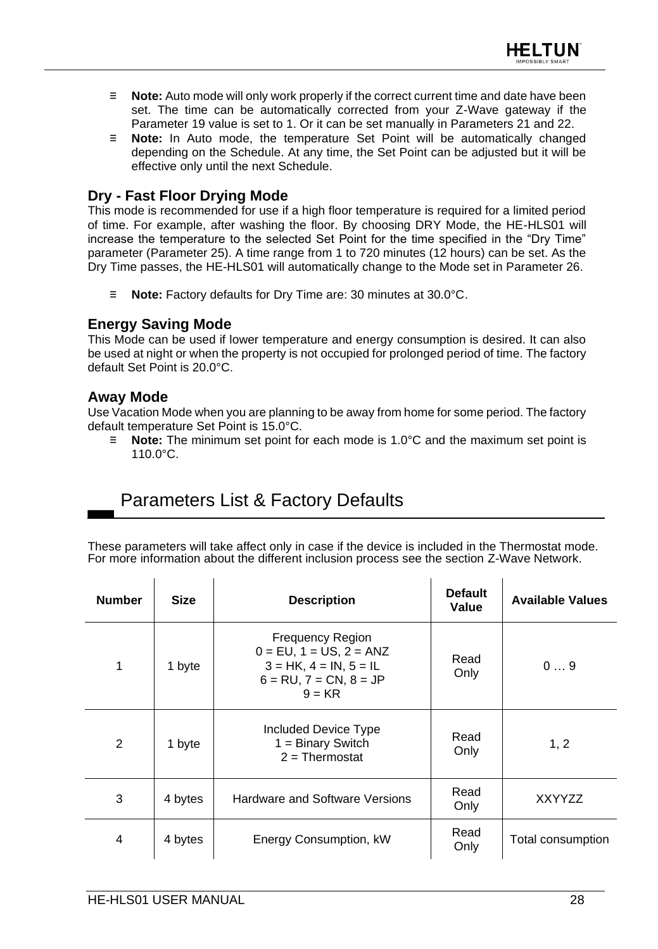- ≡ **Note:** Auto mode will only work properly if the correct current time and date have been set. The time can be automatically corrected from your Z-Wave gateway if the Parameter 19 value is set to 1. Or it can be set manually in Parameters 21 and 22.
- ≡ **Note:** In Auto mode, the temperature Set Point will be automatically changed depending on the Schedule. At any time, the Set Point can be adjusted but it will be effective only until the next Schedule.

## **Dry - Fast Floor Drying Mode**

This mode is recommended for use if a high floor temperature is required for a limited period of time. For example, after washing the floor. By choosing DRY Mode, the HE-HLS01 will increase the temperature to the selected Set Point for the time specified in the "Dry Time" parameter (Parameter 25). A time range from 1 to 720 minutes (12 hours) can be set. As the Dry Time passes, the HE-HLS01 will automatically change to the Mode set in Parameter 26.

≡ **Note:** Factory defaults for Dry Time are: 30 minutes at 30.0°C.

## **Energy Saving Mode**

This Mode can be used if lower temperature and energy consumption is desired. It can also be used at night or when the property is not occupied for prolonged period of time. The factory default Set Point is 20.0°C.

## **Away Mode**

Use Vacation Mode when you are planning to be away from home for some period. The factory default temperature Set Point is 15.0°C.

≡ **Note:** The minimum set point for each mode is 1.0°C and the maximum set point is 110.0°C.

# <span id="page-27-0"></span>Parameters List & Factory Defaults

These parameters will take affect only in case if the device is included in the Thermostat mode. For more information about the different inclusion process see the section Z-Wave Network.

| <b>Number</b> | <b>Size</b> | <b>Description</b>                                                                                                                   | <b>Default</b><br>Value | <b>Available Values</b> |
|---------------|-------------|--------------------------------------------------------------------------------------------------------------------------------------|-------------------------|-------------------------|
| 1             | 1 byte      | <b>Frequency Region</b><br>$0 = EU$ , $1 = US$ , $2 = ANZ$<br>$3 = HK$ , $4 = IN$ , $5 = IL$<br>$6 = RU, 7 = CN, 8 = JP$<br>$9 = KR$ | Read<br>Only            | 09                      |
| 2             | 1 byte      | Included Device Type<br>$1 = Binary Switch$<br>$2 =$ Thermostat                                                                      | Read<br>Only            | 1, 2                    |
| 3             | 4 bytes     | Hardware and Software Versions                                                                                                       | Read<br>Only            | <b>XXYYZZ</b>           |
| 4             | 4 bytes     | Energy Consumption, kW                                                                                                               | Read<br>Only            | Total consumption       |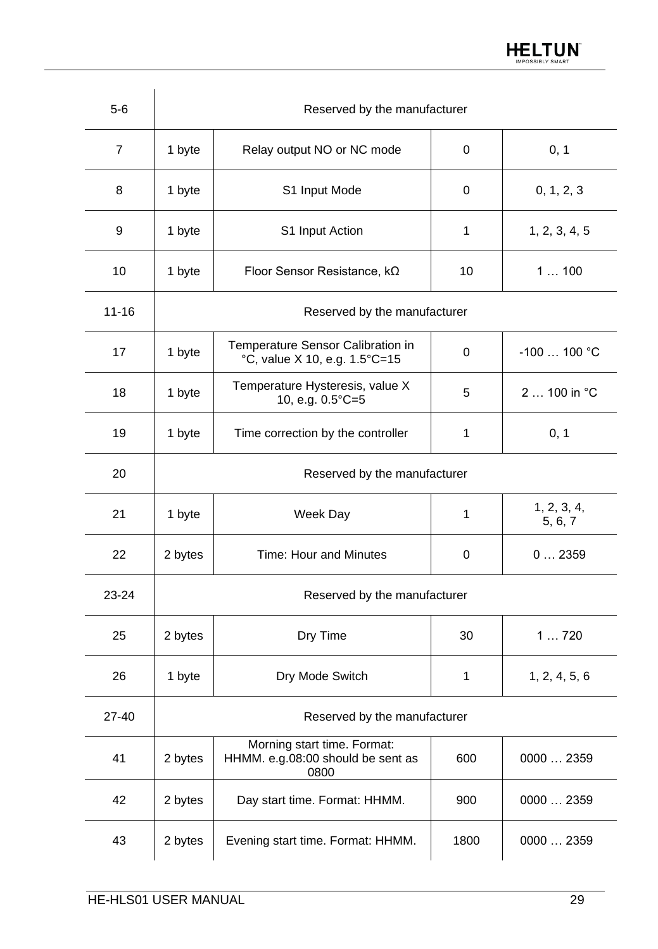| $5-6$          |                              | Reserved by the manufacturer                                             |      |                        |  |  |
|----------------|------------------------------|--------------------------------------------------------------------------|------|------------------------|--|--|
| $\overline{7}$ | 1 byte                       | Relay output NO or NC mode                                               | 0    | 0, 1                   |  |  |
| 8              | 1 byte                       | S1 Input Mode                                                            | 0    | 0, 1, 2, 3             |  |  |
| 9              | 1 byte                       | S1 Input Action                                                          | 1    | 1, 2, 3, 4, 5          |  |  |
| 10             | 1 byte                       | Floor Sensor Resistance, kΩ                                              | 10   | 1100                   |  |  |
| $11 - 16$      |                              | Reserved by the manufacturer                                             |      |                        |  |  |
| 17             | 1 byte                       | Temperature Sensor Calibration in<br>°C, value X 10, e.g. 1.5°C=15       | 0    | $-100100$ °C           |  |  |
| 18             | 1 byte                       | Temperature Hysteresis, value X<br>10, e.g. $0.5^{\circ}$ C=5            | 5    | 2  100 in °C           |  |  |
| 19             | 1 byte                       | Time correction by the controller                                        | 1    | 0, 1                   |  |  |
| 20             | Reserved by the manufacturer |                                                                          |      |                        |  |  |
| 21             | 1 byte                       | Week Day                                                                 | 1    | 1, 2, 3, 4,<br>5, 6, 7 |  |  |
| 22             | 2 bytes                      | Time: Hour and Minutes                                                   | 0    | 02359                  |  |  |
| 23-24          |                              | Reserved by the manufacturer                                             |      |                        |  |  |
| 25             | 2 bytes                      | Dry Time                                                                 | 30   | 1720                   |  |  |
| 26             | 1 byte                       | Dry Mode Switch                                                          | 1    | 1, 2, 4, 5, 6          |  |  |
| 27-40          | Reserved by the manufacturer |                                                                          |      |                        |  |  |
| 41             | 2 bytes                      | Morning start time. Format:<br>HHMM. e.g.08:00 should be sent as<br>0800 | 600  | 0000  2359             |  |  |
| 42             | 2 bytes                      | Day start time. Format: HHMM.                                            | 900  | 0000  2359             |  |  |
| 43             | 2 bytes                      | Evening start time. Format: HHMM.                                        | 1800 | 0000  2359             |  |  |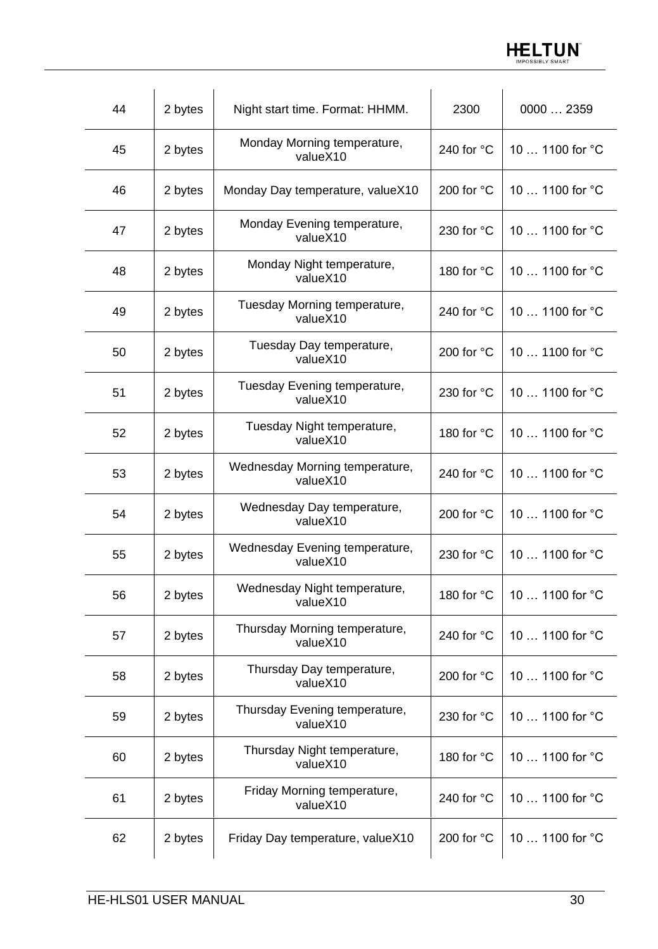| 44 | 2 bytes | Night start time. Format: HHMM.            | 2300       | 0000  2359      |
|----|---------|--------------------------------------------|------------|-----------------|
| 45 | 2 bytes | Monday Morning temperature,<br>valueX10    | 240 for °C | 10  1100 for °C |
| 46 | 2 bytes | Monday Day temperature, valueX10           | 200 for °C | 10  1100 for °C |
| 47 | 2 bytes | Monday Evening temperature,<br>valueX10    | 230 for °C | 10  1100 for °C |
| 48 | 2 bytes | Monday Night temperature,<br>valueX10      | 180 for °C | 10  1100 for °C |
| 49 | 2 bytes | Tuesday Morning temperature,<br>valueX10   | 240 for °C | 10  1100 for °C |
| 50 | 2 bytes | Tuesday Day temperature,<br>valueX10       | 200 for °C | 10  1100 for °C |
| 51 | 2 bytes | Tuesday Evening temperature,<br>valueX10   | 230 for °C | 10  1100 for °C |
| 52 | 2 bytes | Tuesday Night temperature,<br>valueX10     | 180 for °C | 10  1100 for °C |
| 53 | 2 bytes | Wednesday Morning temperature,<br>valueX10 | 240 for °C | 10  1100 for °C |
| 54 | 2 bytes | Wednesday Day temperature,<br>valueX10     | 200 for °C | 10  1100 for °C |
| 55 | 2 bytes | Wednesday Evening temperature,<br>valueX10 | 230 for °C | 10  1100 for °C |
| 56 | 2 bytes | Wednesday Night temperature,<br>valueX10   | 180 for °C | 10  1100 for °C |
| 57 | 2 bytes | Thursday Morning temperature,<br>valueX10  | 240 for °C | 10  1100 for °C |
| 58 | 2 bytes | Thursday Day temperature,<br>valueX10      | 200 for °C | 10  1100 for °C |
| 59 | 2 bytes | Thursday Evening temperature,<br>valueX10  | 230 for °C | 10  1100 for °C |
| 60 | 2 bytes | Thursday Night temperature,<br>valueX10    | 180 for °C | 10  1100 for °C |
| 61 | 2 bytes | Friday Morning temperature,<br>valueX10    | 240 for °C | 10  1100 for °C |
| 62 | 2 bytes | Friday Day temperature, valueX10           | 200 for °C | 10  1100 for °C |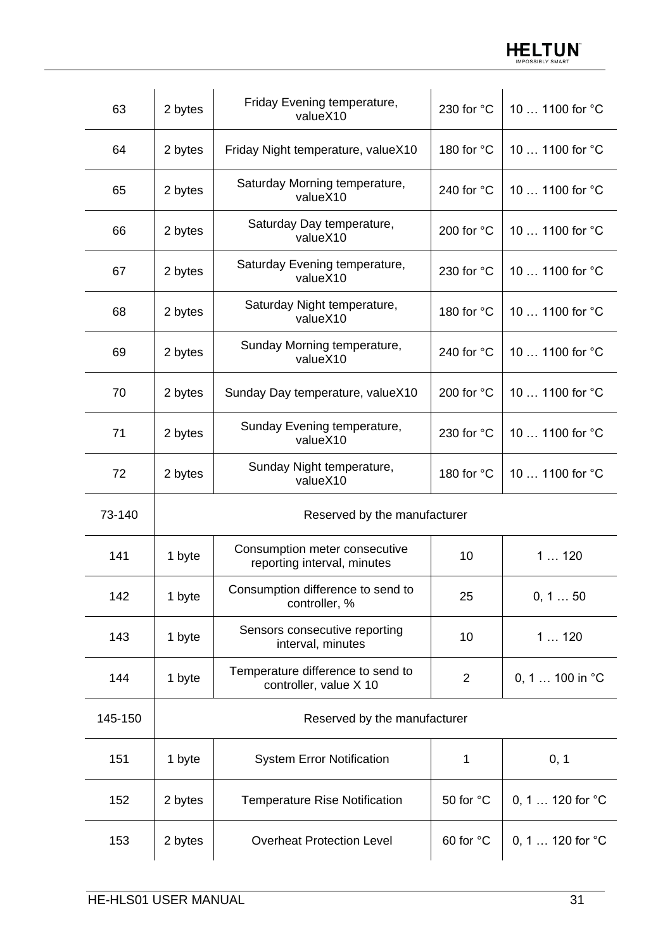| 63      | 2 bytes                      | Friday Evening temperature,<br>valueX10                      | 230 for °C           | 10  1100 for °C            |  |
|---------|------------------------------|--------------------------------------------------------------|----------------------|----------------------------|--|
| 64      | 2 bytes                      | Friday Night temperature, valueX10                           | 180 for °C           | 10  1100 for °C            |  |
| 65      | 2 bytes                      | Saturday Morning temperature,<br>valueX10                    | 240 for °C           | 10  1100 for °C            |  |
| 66      | 2 bytes                      | Saturday Day temperature,<br>valueX10                        | 200 for °C           | 10  1100 for °C            |  |
| 67      | 2 bytes                      | Saturday Evening temperature,<br>valueX10                    | 230 for °C           | 10  1100 for °C            |  |
| 68      | 2 bytes                      | Saturday Night temperature,<br>valueX10                      | 180 for °C           | 10  1100 for °C            |  |
| 69      | 2 bytes                      | Sunday Morning temperature,<br>valueX10                      | 240 for °C           | 10  1100 for °C            |  |
| 70      | 2 bytes                      | Sunday Day temperature, valueX10                             | 200 for $^{\circ}$ C | 10  1100 for °C            |  |
| 71      | 2 bytes                      | Sunday Evening temperature,<br>valueX10                      | 230 for °C           | 10  1100 for °C            |  |
| 72      | 2 bytes                      | Sunday Night temperature,<br>valueX10                        | 180 for °C           | 10  1100 for °C            |  |
| 73-140  | Reserved by the manufacturer |                                                              |                      |                            |  |
| 141     | 1 byte                       | Consumption meter consecutive<br>reporting interval, minutes | 10                   | 1120                       |  |
| 142     | 1 byte                       | Consumption difference to send to<br>controller, %           | 25                   | 0, 150                     |  |
| 143     | 1 byte                       | Sensors consecutive reporting<br>interval, minutes           | 10                   | 1120                       |  |
| 144     | 1 byte                       | Temperature difference to send to<br>controller, value X 10  | $\overline{c}$       | 0, 1  100 in $^{\circ}$ C  |  |
| 145-150 | Reserved by the manufacturer |                                                              |                      |                            |  |
| 151     | 1 byte                       | <b>System Error Notification</b>                             | 1                    | 0, 1                       |  |
| 152     | 2 bytes                      | <b>Temperature Rise Notification</b>                         | 50 for °C            | 0, 1  120 for °C           |  |
| 153     | 2 bytes                      | <b>Overheat Protection Level</b>                             | 60 for °C            | 0, 1  120 for $^{\circ}$ C |  |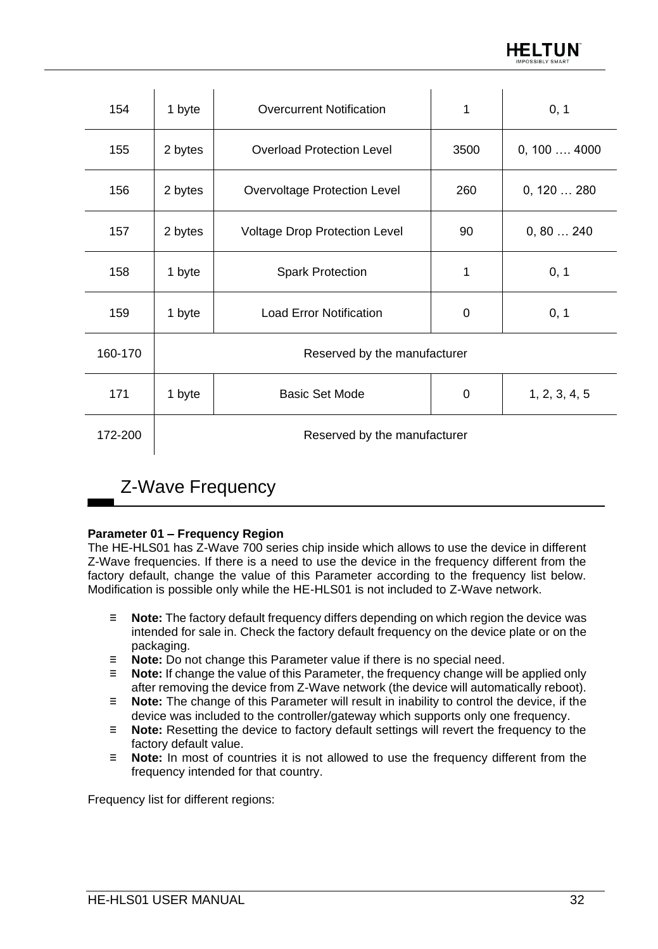| 154     | 1 byte                       | <b>Overcurrent Notification</b>      | 1           | 0, 1                 |  |
|---------|------------------------------|--------------------------------------|-------------|----------------------|--|
| 155     | 2 bytes                      | <b>Overload Protection Level</b>     | 3500        | $0, 100 \ldots 4000$ |  |
| 156     | 2 bytes                      | <b>Overvoltage Protection Level</b>  | 260         | 0, 120280            |  |
| 157     | 2 bytes                      | <b>Voltage Drop Protection Level</b> | 90          | 0, 80 240            |  |
| 158     | 1 byte                       | <b>Spark Protection</b>              | 1           | 0, 1                 |  |
| 159     | 1 byte                       | <b>Load Error Notification</b>       | $\mathbf 0$ | 0, 1                 |  |
| 160-170 | Reserved by the manufacturer |                                      |             |                      |  |
| 171     | 1 byte                       | <b>Basic Set Mode</b>                | $\mathbf 0$ | 1, 2, 3, 4, 5        |  |
| 172-200 | Reserved by the manufacturer |                                      |             |                      |  |
|         |                              |                                      |             |                      |  |

# <span id="page-31-0"></span>Z-Wave Frequency

## **Parameter 01 – Frequency Region**

The HE-HLS01 has Z-Wave 700 series chip inside which allows to use the device in different Z-Wave frequencies. If there is a need to use the device in the frequency different from the factory default, change the value of this Parameter according to the frequency list below. Modification is possible only while the HE-HLS01 is not included to Z-Wave network.

- ≡ **Note:** The factory default frequency differs depending on which region the device was intended for sale in. Check the factory default frequency on the device plate or on the packaging.
- ≡ **Note:** Do not change this Parameter value if there is no special need.
- ≡ **Note:** If change the value of this Parameter, the frequency change will be applied only after removing the device from Z-Wave network (the device will automatically reboot).
- ≡ **Note:** The change of this Parameter will result in inability to control the device, if the device was included to the controller/gateway which supports only one frequency.
- ≡ **Note:** Resetting the device to factory default settings will revert the frequency to the factory default value.
- ≡ **Note:** In most of countries it is not allowed to use the frequency different from the frequency intended for that country.

Frequency list for different regions: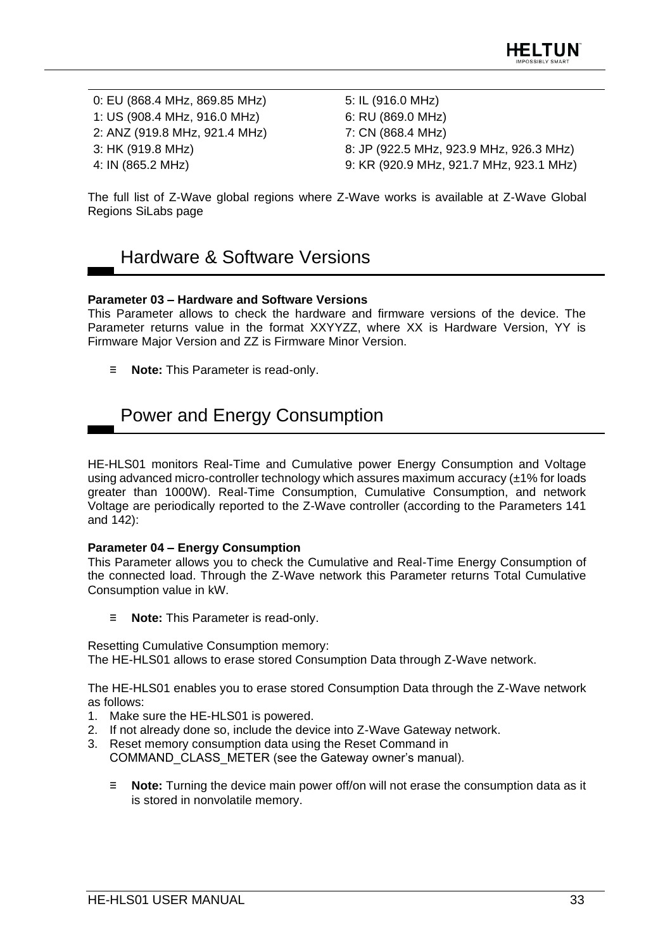0: EU (868.4 MHz, 869.85 MHz) 1: US (908.4 MHz, 916.0 MHz) 2: ANZ (919.8 MHz, 921.4 MHz) 3: HK (919.8 MHz) 4: IN (865.2 MHz)

5: IL (916.0 MHz) 6: RU (869.0 MHz) 7: CN (868.4 MHz) 8: JP (922.5 MHz, 923.9 MHz, 926.3 MHz) 9: KR (920.9 MHz, 921.7 MHz, 923.1 MHz)

The full list of Z-Wave global regions where Z-Wave works is available at Z-Wave Global Regions SiLabs page

## <span id="page-32-0"></span>Hardware & Software Versions

#### **Parameter 03 – Hardware and Software Versions**

This Parameter allows to check the hardware and firmware versions of the device. The Parameter returns value in the format XXYYZZ, where XX is Hardware Version, YY is Firmware Major Version and ZZ is Firmware Minor Version.

≡ **Note:** This Parameter is read-only.

## <span id="page-32-1"></span>Power and Energy Consumption

HE-HLS01 monitors Real-Time and Cumulative power Energy Consumption and Voltage using advanced micro-controller technology which assures maximum accuracy  $(\pm 1\%$  for loads greater than 1000W). Real-Time Consumption, Cumulative Consumption, and network Voltage are periodically reported to the Z-Wave controller (according to the Parameters 141 and 142):

## **Parameter 04 – Energy Consumption**

This Parameter allows you to check the Cumulative and Real-Time Energy Consumption of the connected load. Through the Z-Wave network this Parameter returns Total Cumulative Consumption value in kW.

≡ **Note:** This Parameter is read-only.

Resetting Cumulative Consumption memory: The HE-HLS01 allows to erase stored Consumption Data through Z-Wave network.

The HE-HLS01 enables you to erase stored Consumption Data through the Z-Wave network as follows:

- 1. Make sure the HE-HLS01 is powered.
- 2. If not already done so, include the device into Z-Wave Gateway network.
- <span id="page-32-2"></span>3. Reset memory consumption data using the Reset Command in COMMAND\_CLASS\_METER (see the Gateway owner's manual).
	- ≡ **Note:** Turning the device main power off/on will not erase the consumption data as it is stored in nonvolatile memory.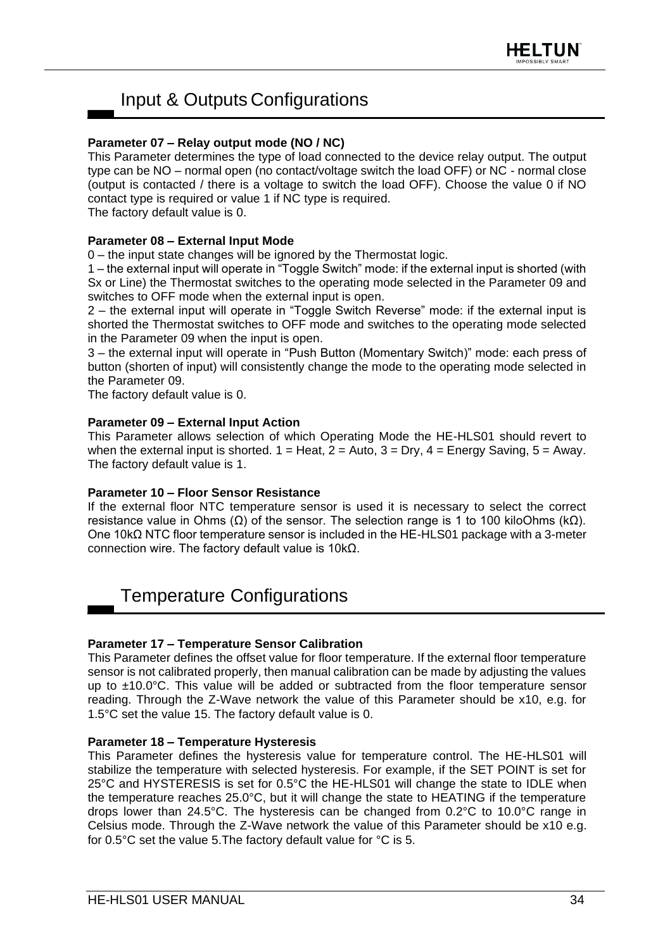# Input & Outputs Configurations

## **Parameter 07 – Relay output mode (NO / NC)**

This Parameter determines the type of load connected to the device relay output. The output type can be NO – normal open (no contact/voltage switch the load OFF) or NC - normal close (output is contacted / there is a voltage to switch the load OFF). Choose the value 0 if NO contact type is required or value 1 if NC type is required.

The factory default value is 0.

## **Parameter 08 – External Input Mode**

0 – the input state changes will be ignored by the Thermostat logic.

1 – the external input will operate in "Toggle Switch" mode: if the external input is shorted (with Sx or Line) the Thermostat switches to the operating mode selected in the Parameter 09 and switches to OFF mode when the external input is open.

2 – the external input will operate in "Toggle Switch Reverse" mode: if the external input is shorted the Thermostat switches to OFF mode and switches to the operating mode selected in the Parameter 09 when the input is open.

3 – the external input will operate in "Push Button (Momentary Switch)" mode: each press of button (shorten of input) will consistently change the mode to the operating mode selected in the Parameter 09.

The factory default value is 0.

## **Parameter 09 – External Input Action**

This Parameter allows selection of which Operating Mode the HE-HLS01 should revert to when the external input is shorted.  $1 =$  Heat,  $2 =$  Auto,  $3 =$  Dry,  $4 =$  Energy Saving,  $5 =$  Away. The factory default value is 1.

## **Parameter 10 – Floor Sensor Resistance**

If the external floor NTC temperature sensor is used it is necessary to select the correct resistance value in Ohms ( $Ω$ ) of the sensor. The selection range is 1 to 100 kiloOhms ( $kΩ$ ). One 10kΩ NTC floor temperature sensor is included in the HE-HLS01 package with a 3-meter connection wire. The factory default value is 10kΩ.

# <span id="page-33-0"></span>Temperature Configurations

## **Parameter 17 – Temperature Sensor Calibration**

This Parameter defines the offset value for floor temperature. If the external floor temperature sensor is not calibrated properly, then manual calibration can be made by adjusting the values up to  $\pm 10.0^{\circ}$ C. This value will be added or subtracted from the floor temperature sensor reading. Through the Z-Wave network the value of this Parameter should be x10, e.g. for 1.5°C set the value 15. The factory default value is 0.

## **Parameter 18 – Temperature Hysteresis**

This Parameter defines the hysteresis value for temperature control. The HE-HLS01 will stabilize the temperature with selected hysteresis. For example, if the SET POINT is set for 25°C and HYSTERESIS is set for 0.5°C the HE-HLS01 will change the state to IDLE when the temperature reaches 25.0°C, but it will change the state to HEATING if the temperature drops lower than 24.5°C. The hysteresis can be changed from 0.2°C to 10.0°C range in Celsius mode. Through the Z-Wave network the value of this Parameter should be x10 e.g. for 0.5°C set the value 5.The factory default value for °C is 5.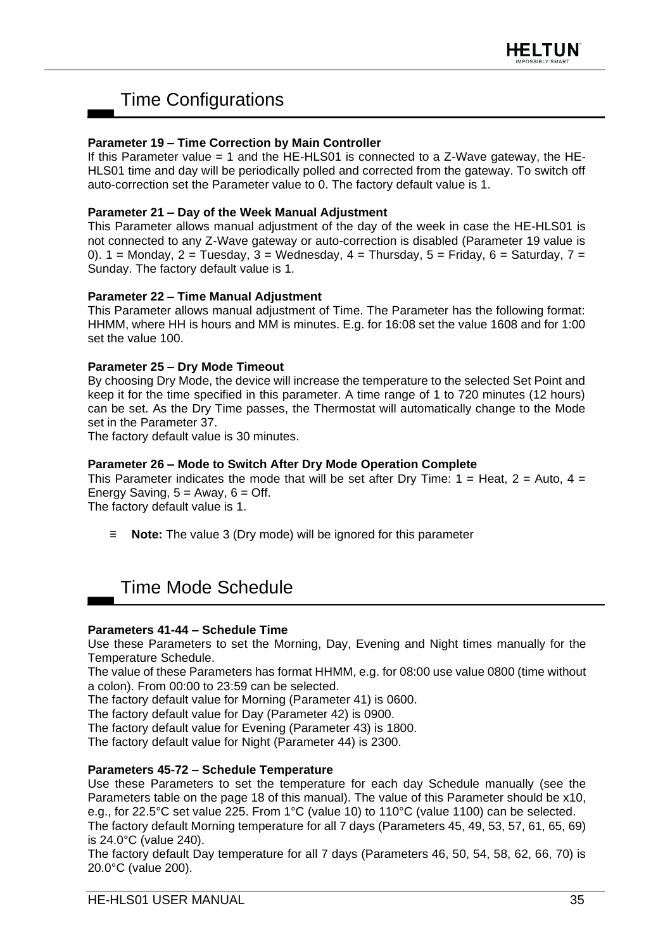# <span id="page-34-0"></span>Time Configurations

## **Parameter 19 – Time Correction by Main Controller**

If this Parameter value  $=$  1 and the HE-HLS01 is connected to a Z-Wave gateway, the HE-HLS01 time and day will be periodically polled and corrected from the gateway. To switch off auto-correction set the Parameter value to 0. The factory default value is 1.

## **Parameter 21 – Day of the Week Manual Adjustment**

This Parameter allows manual adjustment of the day of the week in case the HE-HLS01 is not connected to any Z-Wave gateway or auto-correction is disabled (Parameter 19 value is 0).  $1 =$  Monday,  $2 =$  Tuesday,  $3 =$  Wednesday,  $4 =$  Thursday,  $5 =$  Friday,  $6 =$  Saturday,  $7 =$ Sunday. The factory default value is 1.

## **Parameter 22 – Time Manual Adjustment**

This Parameter allows manual adjustment of Time. The Parameter has the following format: HHMM, where HH is hours and MM is minutes. E.g. for 16:08 set the value 1608 and for 1:00 set the value 100.

## **Parameter 25 – Dry Mode Timeout**

By choosing Dry Mode, the device will increase the temperature to the selected Set Point and keep it for the time specified in this parameter. A time range of 1 to 720 minutes (12 hours) can be set. As the Dry Time passes, the Thermostat will automatically change to the Mode set in the Parameter 37.

The factory default value is 30 minutes.

## **Parameter 26 – Mode to Switch After Dry Mode Operation Complete**

This Parameter indicates the mode that will be set after Dry Time:  $1 =$  Heat,  $2 =$  Auto,  $4 =$ Energy Saving,  $5 =$  Away,  $6 =$  Off.

The factory default value is 1.

≡ **Note:** The value 3 (Dry mode) will be ignored for this parameter

# <span id="page-34-1"></span>Time Mode Schedule

## **Parameters 41-44 – Schedule Time**

Use these Parameters to set the Morning, Day, Evening and Night times manually for the Temperature Schedule.

The value of these Parameters has format HHMM, e.g. for 08:00 use value 0800 (time without a colon). From 00:00 to 23:59 can be selected.

The factory default value for Morning (Parameter 41) is 0600.

The factory default value for Day (Parameter 42) is 0900.

The factory default value for Evening (Parameter 43) is 1800.

The factory default value for Night (Parameter 44) is 2300.

## **Parameters 45-72 – Schedule Temperature**

Use these Parameters to set the temperature for each day Schedule manually (see the Parameters table on the page 18 of this manual). The value of this Parameter should be x10, e.g., for 22.5°C set value 225. From 1°C (value 10) to 110°C (value 1100) can be selected.

The factory default Morning temperature for all 7 days (Parameters 45, 49, 53, 57, 61, 65, 69) is 24.0°C (value 240).

The factory default Day temperature for all 7 days (Parameters 46, 50, 54, 58, 62, 66, 70) is 20.0°C (value 200).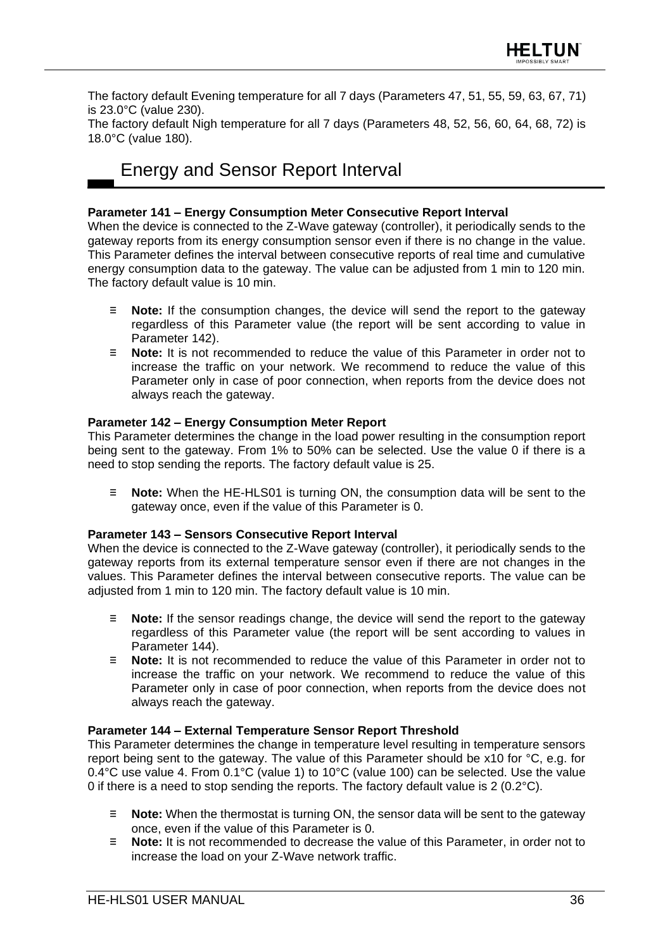The factory default Evening temperature for all 7 days (Parameters 47, 51, 55, 59, 63, 67, 71) is 23.0°C (value 230).

The factory default Nigh temperature for all 7 days (Parameters 48, 52, 56, 60, 64, 68, 72) is 18.0°C (value 180).

## <span id="page-35-0"></span>Energy and Sensor Report Interval

#### **Parameter 141 – Energy Consumption Meter Consecutive Report Interval**

When the device is connected to the Z-Wave gateway (controller), it periodically sends to the gateway reports from its energy consumption sensor even if there is no change in the value. This Parameter defines the interval between consecutive reports of real time and cumulative energy consumption data to the gateway. The value can be adjusted from 1 min to 120 min. The factory default value is 10 min.

- ≡ **Note:** If the consumption changes, the device will send the report to the gateway regardless of this Parameter value (the report will be sent according to value in Parameter 142).
- ≡ **Note:** It is not recommended to reduce the value of this Parameter in order not to increase the traffic on your network. We recommend to reduce the value of this Parameter only in case of poor connection, when reports from the device does not always reach the gateway.

#### **Parameter 142 – Energy Consumption Meter Report**

This Parameter determines the change in the load power resulting in the consumption report being sent to the gateway. From 1% to 50% can be selected. Use the value 0 if there is a need to stop sending the reports. The factory default value is 25.

≡ **Note:** When the HE-HLS01 is turning ON, the consumption data will be sent to the gateway once, even if the value of this Parameter is 0.

#### **Parameter 143 – Sensors Consecutive Report Interval**

When the device is connected to the Z-Wave gateway (controller), it periodically sends to the gateway reports from its external temperature sensor even if there are not changes in the values. This Parameter defines the interval between consecutive reports. The value can be adjusted from 1 min to 120 min. The factory default value is 10 min.

- ≡ **Note:** If the sensor readings change, the device will send the report to the gateway regardless of this Parameter value (the report will be sent according to values in Parameter 144).
- ≡ **Note:** It is not recommended to reduce the value of this Parameter in order not to increase the traffic on your network. We recommend to reduce the value of this Parameter only in case of poor connection, when reports from the device does not always reach the gateway.

#### **Parameter 144 – External Temperature Sensor Report Threshold**

This Parameter determines the change in temperature level resulting in temperature sensors report being sent to the gateway. The value of this Parameter should be x10 for °C, e.g. for  $0.4^{\circ}$ C use value 4. From  $0.1^{\circ}$ C (value 1) to  $10^{\circ}$ C (value 100) can be selected. Use the value 0 if there is a need to stop sending the reports. The factory default value is 2 (0.2°C).

- ≡ **Note:** When the thermostat is turning ON, the sensor data will be sent to the gateway once, even if the value of this Parameter is 0.
- ≡ **Note:** It is not recommended to decrease the value of this Parameter, in order not to increase the load on your Z-Wave network traffic.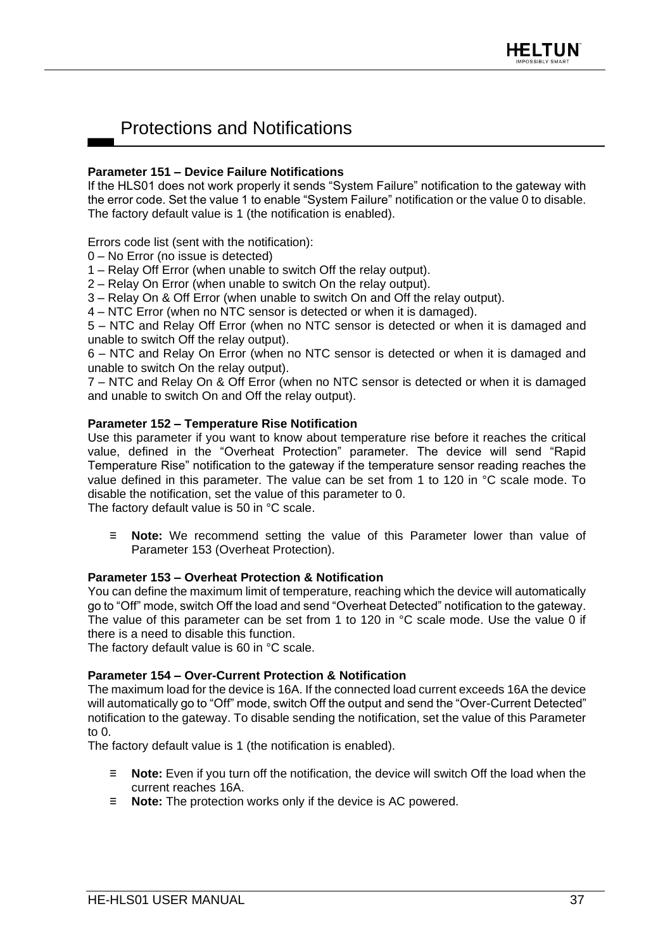# <span id="page-36-0"></span>Protections and Notifications

## **Parameter 151 – Device Failure Notifications**

If the HLS01 does not work properly it sends "System Failure" notification to the gateway with the error code. Set the value 1 to enable "System Failure" notification or the value 0 to disable. The factory default value is 1 (the notification is enabled).

Errors code list (sent with the notification):

- 0 No Error (no issue is detected)
- 1 Relay Off Error (when unable to switch Off the relay output).
- 2 Relay On Error (when unable to switch On the relay output).
- 3 Relay On & Off Error (when unable to switch On and Off the relay output).
- 4 NTC Error (when no NTC sensor is detected or when it is damaged).

5 – NTC and Relay Off Error (when no NTC sensor is detected or when it is damaged and unable to switch Off the relay output).

6 – NTC and Relay On Error (when no NTC sensor is detected or when it is damaged and unable to switch On the relay output).

7 – NTC and Relay On & Off Error (when no NTC sensor is detected or when it is damaged and unable to switch On and Off the relay output).

## **Parameter 152 – Temperature Rise Notification**

Use this parameter if you want to know about temperature rise before it reaches the critical value, defined in the "Overheat Protection" parameter. The device will send "Rapid Temperature Rise" notification to the gateway if the temperature sensor reading reaches the value defined in this parameter. The value can be set from 1 to 120 in °C scale mode. To disable the notification, set the value of this parameter to 0.

The factory default value is 50 in °C scale.

≡ **Note:** We recommend setting the value of this Parameter lower than value of Parameter 153 (Overheat Protection).

## **Parameter 153 – Overheat Protection & Notification**

You can define the maximum limit of temperature, reaching which the device will automatically go to "Off" mode, switch Off the load and send "Overheat Detected" notification to the gateway. The value of this parameter can be set from 1 to 120 in °C scale mode. Use the value 0 if there is a need to disable this function.

The factory default value is 60 in °C scale.

## **Parameter 154 – Over-Current Protection & Notification**

The maximum load for the device is 16A. If the connected load current exceeds 16A the device will automatically go to "Off" mode, switch Off the output and send the "Over-Current Detected" notification to the gateway. To disable sending the notification, set the value of this Parameter to 0.

The factory default value is 1 (the notification is enabled).

- ≡ **Note:** Even if you turn off the notification, the device will switch Off the load when the current reaches 16A.
- ≡ **Note:** The protection works only if the device is AC powered.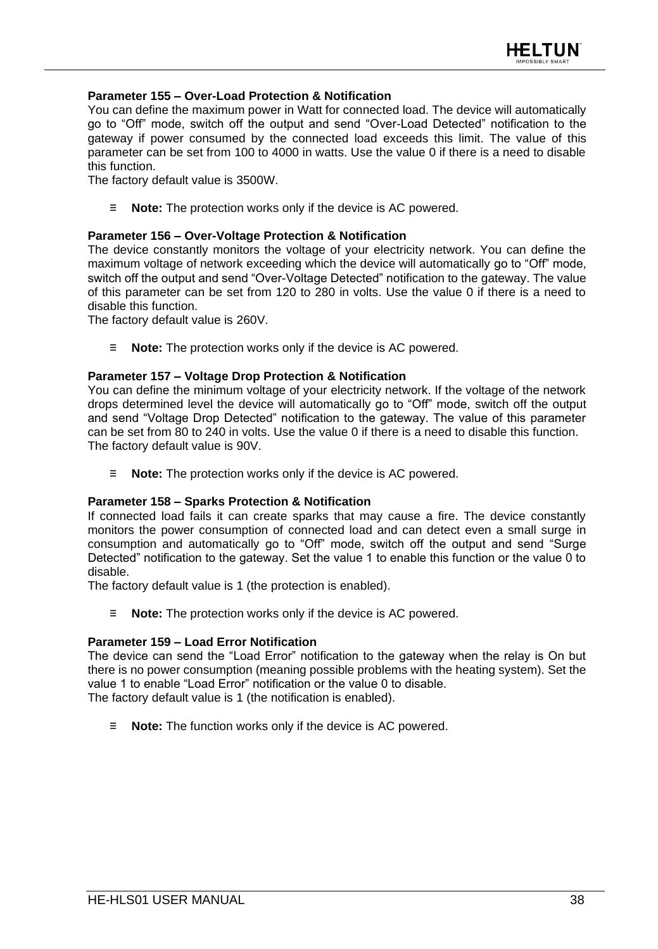

#### **Parameter 155 – Over-Load Protection & Notification**

You can define the maximum power in Watt for connected load. The device will automatically go to "Off" mode, switch off the output and send "Over-Load Detected" notification to the gateway if power consumed by the connected load exceeds this limit. The value of this parameter can be set from 100 to 4000 in watts. Use the value 0 if there is a need to disable this function.

The factory default value is 3500W.

≡ **Note:** The protection works only if the device is AC powered.

#### **Parameter 156 – Over-Voltage Protection & Notification**

The device constantly monitors the voltage of your electricity network. You can define the maximum voltage of network exceeding which the device will automatically go to "Off" mode, switch off the output and send "Over-Voltage Detected" notification to the gateway. The value of this parameter can be set from 120 to 280 in volts. Use the value 0 if there is a need to disable this function.

The factory default value is 260V.

**Note:** The protection works only if the device is AC powered.

#### **Parameter 157 – Voltage Drop Protection & Notification**

You can define the minimum voltage of your electricity network. If the voltage of the network drops determined level the device will automatically go to "Off" mode, switch off the output and send "Voltage Drop Detected" notification to the gateway. The value of this parameter can be set from 80 to 240 in volts. Use the value 0 if there is a need to disable this function. The factory default value is 90V.

≡ **Note:** The protection works only if the device is AC powered.

#### **Parameter 158 – Sparks Protection & Notification**

If connected load fails it can create sparks that may cause a fire. The device constantly monitors the power consumption of connected load and can detect even a small surge in consumption and automatically go to "Off" mode, switch off the output and send "Surge Detected" notification to the gateway. Set the value 1 to enable this function or the value 0 to disable.

The factory default value is 1 (the protection is enabled).

≡ **Note:** The protection works only if the device is AC powered.

## **Parameter 159 – Load Error Notification**

The device can send the "Load Error" notification to the gateway when the relay is On but there is no power consumption (meaning possible problems with the heating system). Set the value 1 to enable "Load Error" notification or the value 0 to disable. The factory default value is 1 (the notification is enabled).

<span id="page-37-0"></span>≡ **Note:** The function works only if the device is AC powered.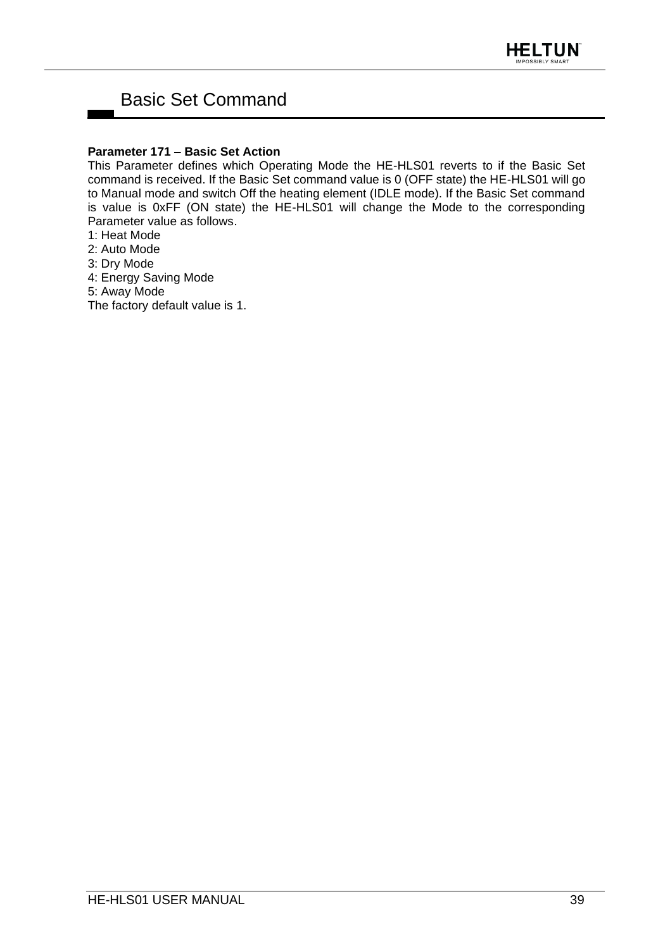# Basic Set Command

## **Parameter 171 – Basic Set Action**

This Parameter defines which Operating Mode the HE-HLS01 reverts to if the Basic Set command is received. If the Basic Set command value is 0 (OFF state) the HE-HLS01 will go to Manual mode and switch Off the heating element (IDLE mode). If the Basic Set command is value is 0xFF (ON state) the HE-HLS01 will change the Mode to the corresponding Parameter value as follows.

- 1: Heat Mode
- 2: Auto Mode
- 3: Dry Mode
- 4: Energy Saving Mode
- 5: Away Mode

<span id="page-38-0"></span>The factory default value is 1.